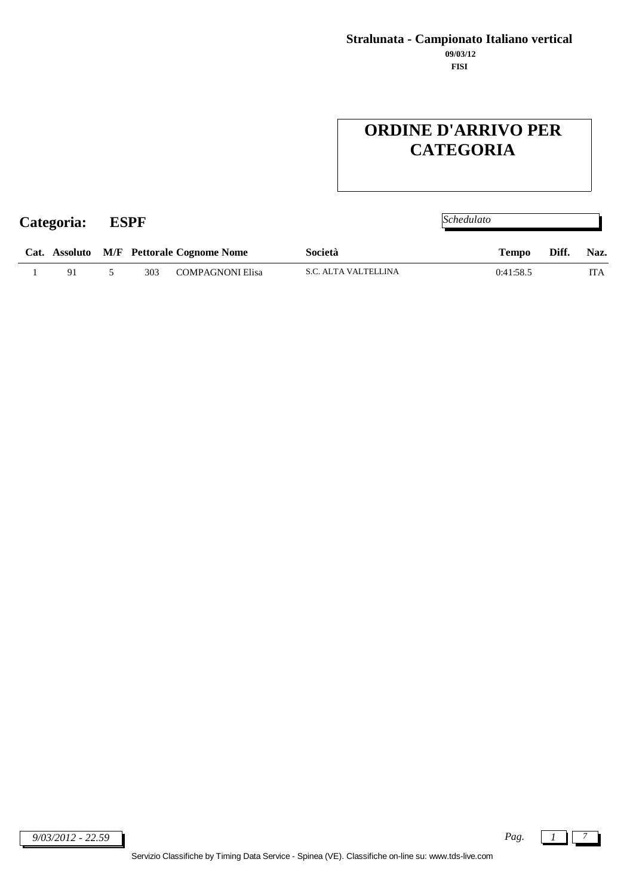# **ORDINE D'ARRIVO PER CATEGORIA**

| Categoria: |    | ESPF |     |                                          | Schedulato           |              |       |            |
|------------|----|------|-----|------------------------------------------|----------------------|--------------|-------|------------|
|            |    |      |     | Cat. Assoluto M/F Pettorale Cognome Nome | Società              | <b>Tempo</b> | Diff. | Naz.       |
|            | 91 |      | 303 | <b>COMPAGNONI Elisa</b>                  | S.C. ALTA VALTELLINA | 0:41:58.5    |       | <b>ITA</b> |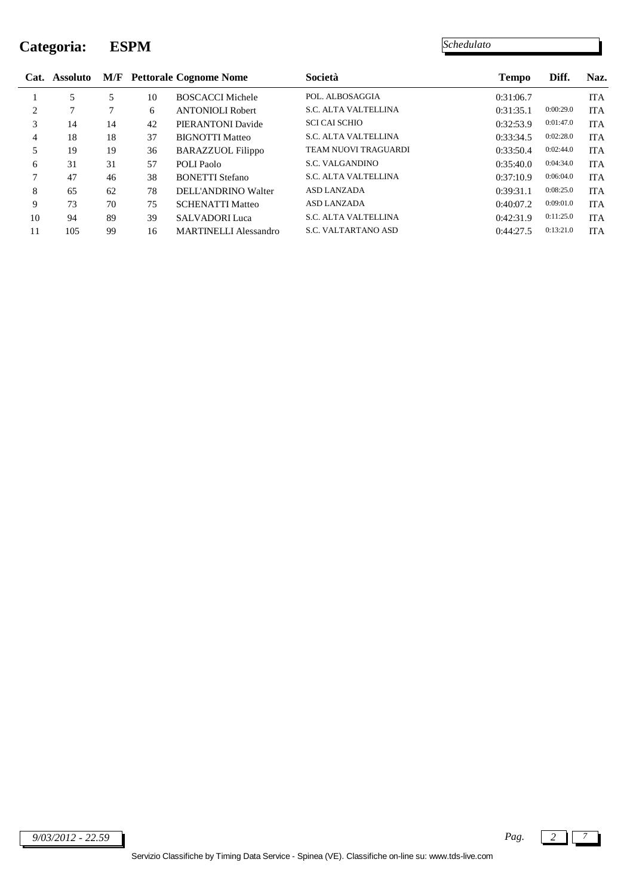### **Categoria: ESPM**

|                | Cat. Assoluto |    |    | <b>M/F</b> Pettorale Cognome Nome | Società                     | <b>Tempo</b> | Diff.     | Naz.       |
|----------------|---------------|----|----|-----------------------------------|-----------------------------|--------------|-----------|------------|
|                | 5             | 5  | 10 | <b>BOSCACCI Michele</b>           | POL. ALBOSAGGIA             | 0:31:06.7    |           | <b>ITA</b> |
| $\overline{c}$ | $\mathcal{I}$ |    | 6  | <b>ANTONIOLI Robert</b>           | <b>S.C. ALTA VALTELLINA</b> | 0:31:35.1    | 0:00:29.0 | <b>ITA</b> |
| 3              | 14            | 14 | 42 | PIERANTONI Davide                 | <b>SCI CAI SCHIO</b>        | 0:32:53.9    | 0:01:47.0 | <b>ITA</b> |
| 4              | 18            | 18 | 37 | <b>BIGNOTTI Matteo</b>            | <b>S.C. ALTA VALTELLINA</b> | 0:33:34.5    | 0:02:28.0 | <b>ITA</b> |
| 5              | 19            | 19 | 36 | <b>BARAZZUOL Filippo</b>          | <b>TEAM NUOVI TRAGUARDI</b> | 0:33:50.4    | 0:02:44.0 | <b>ITA</b> |
| 6              | 31            | 31 | 57 | POLI Paolo                        | S.C. VALGANDINO             | 0:35:40.0    | 0:04:34.0 | <b>ITA</b> |
| 7              | 47            | 46 | 38 | <b>BONETTI Stefano</b>            | S.C. ALTA VALTELLINA        | 0:37:10.9    | 0:06:04.0 | <b>ITA</b> |
| 8              | 65            | 62 | 78 | DELL'ANDRINO Walter               | <b>ASD LANZADA</b>          | 0:39:31.1    | 0:08:25.0 | <b>ITA</b> |
| 9              | 73            | 70 | 75 | <b>SCHENATTI Matteo</b>           | <b>ASD LANZADA</b>          | 0:40:07.2    | 0:09:01.0 | <b>ITA</b> |
| 10             | 94            | 89 | 39 | <b>SALVADORI Luca</b>             | <b>S.C. ALTA VALTELLINA</b> | 0:42:31.9    | 0:11:25.0 | <b>ITA</b> |
| 11             | 105           | 99 | 16 | <b>MARTINELLI Alessandro</b>      | <b>S.C. VALTARTANO ASD</b>  | 0:44:27.5    | 0:13:21.0 | <b>ITA</b> |

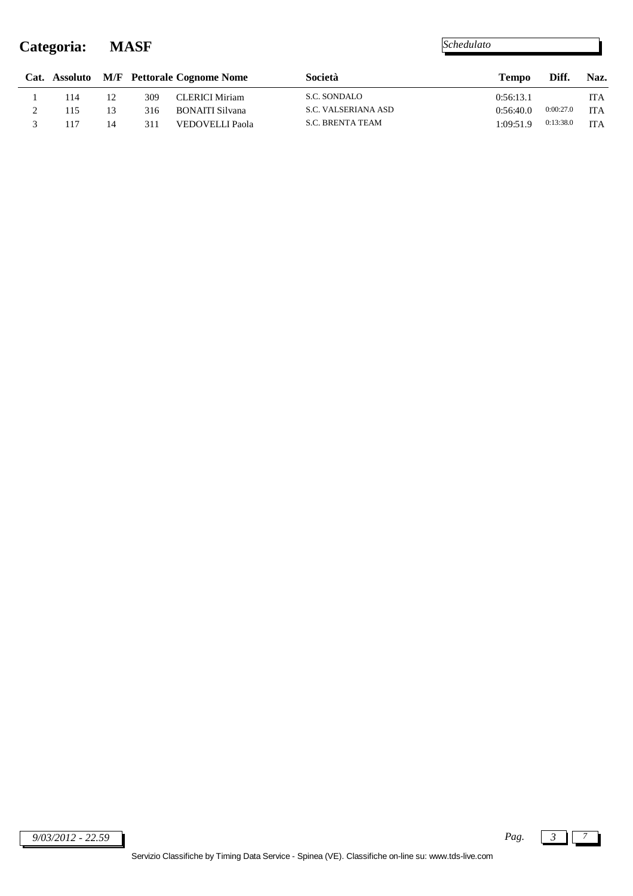### **Categoria: MASF**

|     |    |     | Cat. Assoluto M/F Pettorale Cognome Nome | Società                 | <b>Tempo</b> | Diff.     | Naz.       |
|-----|----|-----|------------------------------------------|-------------------------|--------------|-----------|------------|
| 114 | 12 | 309 | <b>CLERICI Miriam</b>                    | S.C. SONDALO            | 0:56:13.1    |           | <b>ITA</b> |
| 115 | 13 | 316 | <b>BONAITI Silvana</b>                   | S.C. VALSERIANA ASD     | 0.56:40.0    | 0:00:27.0 | <b>ITA</b> |
| 117 | 14 | 311 | VEDOVELLI Paola                          | <b>S.C. BRENTA TEAM</b> | 1:09:51.9    | 0:13:38.0 | <b>ITA</b> |

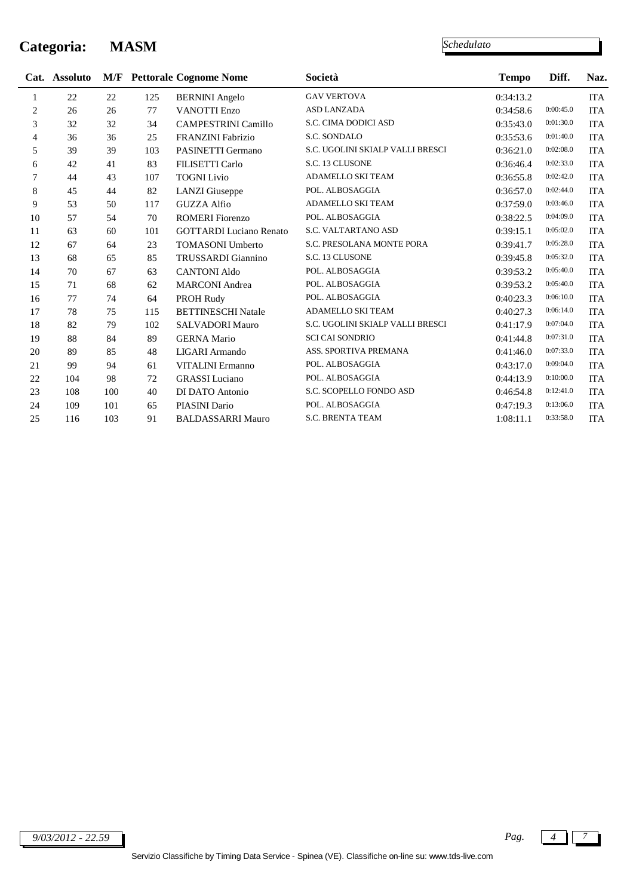### **Categoria: MASM**

|                | Cat. Assoluto |     |     | <b>M/F</b> Pettorale Cognome Nome | Società                          | <b>Tempo</b> | Diff.     | Naz.       |
|----------------|---------------|-----|-----|-----------------------------------|----------------------------------|--------------|-----------|------------|
| 1              | 22            | 22  | 125 | <b>BERNINI</b> Angelo             | <b>GAV VERTOVA</b>               | 0:34:13.2    |           | ITA        |
| $\overline{2}$ | 26            | 26  | 77  | <b>VANOTTI Enzo</b>               | ASD LANZADA                      | 0:34:58.6    | 0:00:45.0 | <b>ITA</b> |
| 3              | 32            | 32  | 34  | <b>CAMPESTRINI Camillo</b>        | S.C. CIMA DODICI ASD             | 0:35:43.0    | 0:01:30.0 | ITA        |
| $\overline{4}$ | 36            | 36  | 25  | <b>FRANZINI Fabrizio</b>          | S.C. SONDALO                     | 0:35:53.6    | 0:01:40.0 | <b>ITA</b> |
| 5              | 39            | 39  | 103 | PASINETTI Germano                 | S.C. UGOLINI SKIALP VALLI BRESCI | 0:36:21.0    | 0:02:08.0 | <b>ITA</b> |
| 6              | 42            | 41  | 83  | <b>FILISETTI Carlo</b>            | S.C. 13 CLUSONE                  | 0:36:46.4    | 0:02:33.0 | <b>ITA</b> |
| 7              | 44            | 43  | 107 | <b>TOGNI</b> Livio                | ADAMELLO SKI TEAM                | 0:36:55.8    | 0:02:42.0 | ITA        |
| 8              | 45            | 44  | 82  | <b>LANZI</b> Giuseppe             | POL. ALBOSAGGIA                  | 0:36:57.0    | 0:02:44.0 | ITA        |
| 9              | 53            | 50  | 117 | <b>GUZZA Alfio</b>                | ADAMELLO SKI TEAM                | 0:37:59.0    | 0:03:46.0 | <b>ITA</b> |
| 10             | 57            | 54  | 70  | <b>ROMERI</b> Fiorenzo            | POL. ALBOSAGGIA                  | 0:38:22.5    | 0:04:09.0 | <b>ITA</b> |
| 11             | 63            | 60  | 101 | <b>GOTTARDI</b> Luciano Renato    | S.C. VALTARTANO ASD              | 0:39:15.1    | 0:05:02.0 | <b>ITA</b> |
| 12             | 67            | 64  | 23  | <b>TOMASONI Umberto</b>           | S.C. PRESOLANA MONTE PORA        | 0:39:41.7    | 0:05:28.0 | <b>ITA</b> |
| 13             | 68            | 65  | 85  | TRUSSARDI Giannino                | S.C. 13 CLUSONE                  | 0:39:45.8    | 0:05:32.0 | ITA        |
| 14             | 70            | 67  | 63  | <b>CANTONI Aldo</b>               | POL. ALBOSAGGIA                  | 0:39:53.2    | 0:05:40.0 | <b>ITA</b> |
| 15             | 71            | 68  | 62  | <b>MARCONI</b> Andrea             | POL. ALBOSAGGIA                  | 0:39:53.2    | 0:05:40.0 | <b>ITA</b> |
| 16             | 77            | 74  | 64  | PROH Rudy                         | POL. ALBOSAGGIA                  | 0:40:23.3    | 0:06:10.0 | <b>ITA</b> |
| 17             | 78            | 75  | 115 | <b>BETTINESCHI Natale</b>         | ADAMELLO SKI TEAM                | 0:40:27.3    | 0:06:14.0 | <b>ITA</b> |
| 18             | 82            | 79  | 102 | SALVADORI Mauro                   | S.C. UGOLINI SKIALP VALLI BRESCI | 0:41:17.9    | 0:07:04.0 | <b>ITA</b> |
| 19             | 88            | 84  | 89  | <b>GERNA Mario</b>                | <b>SCI CAI SONDRIO</b>           | 0:41:44.8    | 0:07:31.0 | <b>ITA</b> |
| 20             | 89            | 85  | 48  | LIGARI Armando                    | ASS. SPORTIVA PREMANA            | 0:41:46.0    | 0:07:33.0 | <b>ITA</b> |
| 21             | 99            | 94  | 61  | <b>VITALINI</b> Ermanno           | POL. ALBOSAGGIA                  | 0:43:17.0    | 0:09:04.0 | <b>ITA</b> |
| 22             | 104           | 98  | 72  | <b>GRASSI</b> Luciano             | POL. ALBOSAGGIA                  | 0:44:13.9    | 0:10:00.0 | <b>ITA</b> |
| 23             | 108           | 100 | 40  | DI DATO Antonio                   | S.C. SCOPELLO FONDO ASD          | 0:46:54.8    | 0:12:41.0 | <b>ITA</b> |
| 24             | 109           | 101 | 65  | PIASINI Dario                     | POL. ALBOSAGGIA                  | 0:47:19.3    | 0:13:06.0 | <b>ITA</b> |
| 25             | 116           | 103 | 91  | <b>BALDASSARRI Mauro</b>          | <b>S.C. BRENTA TEAM</b>          | 1:08:11.1    | 0:33:58.0 | <b>ITA</b> |
|                |               |     |     |                                   |                                  |              |           |            |

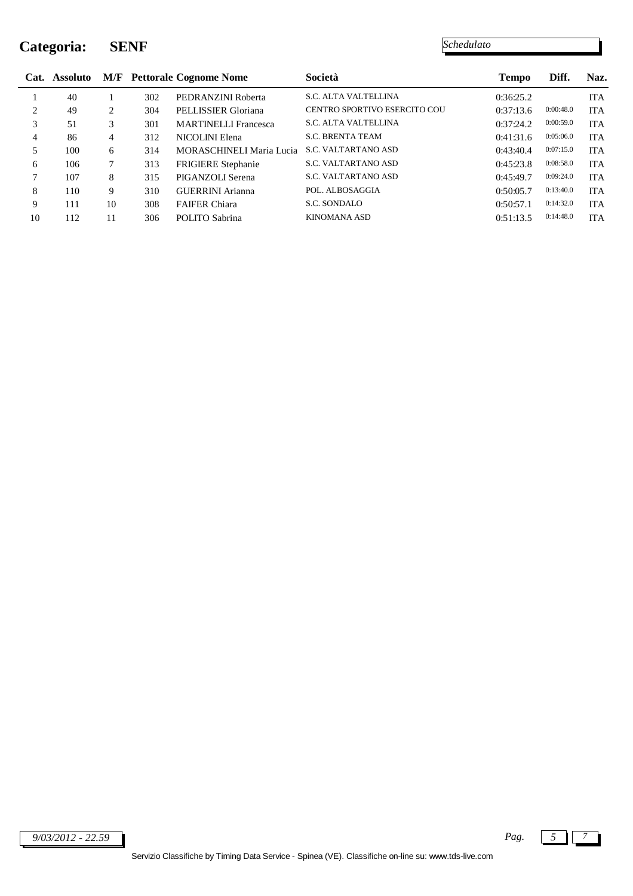### **Categoria: SENF**

|    | Cat. Assoluto |    |     | <b>M/F</b> Pettorale Cognome Nome | <b>Società</b>                      | <b>Tempo</b> | Diff.     | Naz.       |
|----|---------------|----|-----|-----------------------------------|-------------------------------------|--------------|-----------|------------|
|    | 40            |    | 302 | PEDRANZINI Roberta                | <b>S.C. ALTA VALTELLINA</b>         | 0:36:25.2    |           | <b>ITA</b> |
| 2  | 49            | 2  | 304 | PELLISSIER Gloriana               | <b>CENTRO SPORTIVO ESERCITO COU</b> | 0:37:13.6    | 0:00:48.0 | <b>ITA</b> |
| 3  | 51            | 3  | 301 | <b>MARTINELLI Francesca</b>       | <b>S.C. ALTA VALTELLINA</b>         | 0:37:24.2    | 0:00:59.0 | <b>ITA</b> |
| 4  | 86            | 4  | 312 | NICOLINI Elena                    | <b>S.C. BRENTA TEAM</b>             | 0:41:31.6    | 0:05:06.0 | <b>ITA</b> |
| 5  | 100           | 6  | 314 | <b>MORASCHINELI Maria Lucia</b>   | <b>S.C. VALTARTANO ASD</b>          | 0:43:40.4    | 0:07:15.0 | <b>ITA</b> |
| 6  | 106           |    | 313 | <b>FRIGIERE</b> Stephanie         | <b>S.C. VALTARTANO ASD</b>          | 0:45:23.8    | 0:08:58.0 | <b>ITA</b> |
|    | 107           | 8  | 315 | PIGANZOLI Serena                  | <b>S.C. VALTARTANO ASD</b>          | 0:45:49.7    | 0:09:24.0 | <b>ITA</b> |
| 8  | 110           | 9  | 310 | <b>GUERRINI</b> Arianna           | POL. ALBOSAGGIA                     | 0:50:05.7    | 0:13:40.0 | <b>ITA</b> |
| 9  | 111           | 10 | 308 | <b>FAIFER Chiara</b>              | S.C. SONDALO                        | 0:50:57.1    | 0:14:32.0 | <b>ITA</b> |
| 10 | 112           | 11 | 306 | POLITO Sabrina                    | <b>KINOMANA ASD</b>                 | 0:51:13.5    | 0:14:48.0 | <b>ITA</b> |

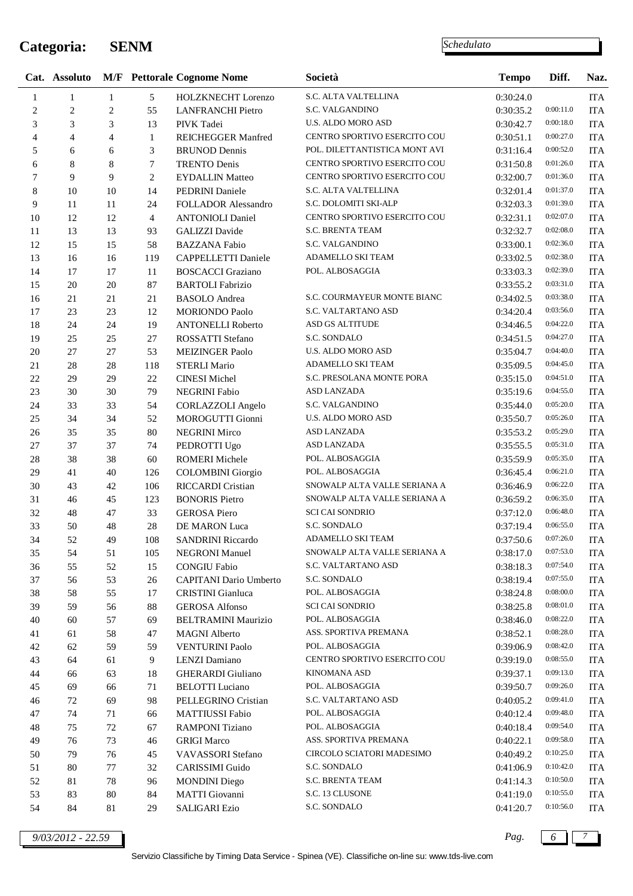### **Categoria: SENM**

*Schedulato*

|                |              |                |                | Cat. Assoluto M/F Pettorale Cognome Nome | Società                       | <b>Tempo</b> | Diff.     | Naz.       |
|----------------|--------------|----------------|----------------|------------------------------------------|-------------------------------|--------------|-----------|------------|
| $\mathbf{1}$   | $\mathbf{1}$ | $\mathbf{1}$   | 5              | HOLZKNECHT Lorenzo                       | S.C. ALTA VALTELLINA          | 0:30:24.0    |           | <b>ITA</b> |
| $\overline{c}$ | 2            | 2              | 55             | <b>LANFRANCHI Pietro</b>                 | S.C. VALGANDINO               | 0:30:35.2    | 0:00:11.0 | <b>ITA</b> |
| 3              | 3            | 3              | 13             | PIVK Tadei                               | U.S. ALDO MORO ASD            | 0:30:42.7    | 0:00:18.0 | <b>ITA</b> |
| 4              | 4            | $\overline{4}$ | $\mathbf{1}$   | REICHEGGER Manfred                       | CENTRO SPORTIVO ESERCITO COU  | 0:30:51.1    | 0:00:27.0 | <b>ITA</b> |
| 5              | 6            | 6              | 3              | <b>BRUNOD</b> Dennis                     | POL. DILETTANTISTICA MONT AVI | 0:31:16.4    | 0:00:52.0 | <b>ITA</b> |
| 6              | 8            | 8              | 7              | <b>TRENTO Denis</b>                      | CENTRO SPORTIVO ESERCITO COU  | 0:31:50.8    | 0:01:26.0 | <b>ITA</b> |
| 7              | 9            | 9              | $\overline{c}$ | <b>EYDALLIN Matteo</b>                   | CENTRO SPORTIVO ESERCITO COU  | 0:32:00.7    | 0:01:36.0 | <b>ITA</b> |
| $\,$ 8 $\,$    | 10           | 10             | 14             | PEDRINI Daniele                          | S.C. ALTA VALTELLINA          | 0:32:01.4    | 0:01:37.0 | <b>ITA</b> |
| 9              | 11           | 11             | 24             | <b>FOLLADOR Alessandro</b>               | S.C. DOLOMITI SKI-ALP         | 0:32:03.3    | 0:01:39.0 | <b>ITA</b> |
| 10             | 12           | 12             | 4              | <b>ANTONIOLI Daniel</b>                  | CENTRO SPORTIVO ESERCITO COU  | 0:32:31.1    | 0:02:07.0 | <b>ITA</b> |
| 11             | 13           | 13             | 93             | <b>GALIZZI</b> Davide                    | <b>S.C. BRENTA TEAM</b>       | 0:32:32.7    | 0:02:08.0 | <b>ITA</b> |
| 12             | 15           | 15             | 58             | <b>BAZZANA Fabio</b>                     | S.C. VALGANDINO               | 0:33:00.1    | 0:02:36.0 | <b>ITA</b> |
| 13             | 16           | 16             | 119            | CAPPELLETTI Daniele                      | ADAMELLO SKI TEAM             | 0:33:02.5    | 0:02:38.0 | <b>ITA</b> |
| 14             | 17           | 17             | 11             | <b>BOSCACCI</b> Graziano                 | POL. ALBOSAGGIA               | 0:33:03.3    | 0:02:39.0 | <b>ITA</b> |
| 15             | 20           | 20             | 87             | <b>BARTOLI Fabrizio</b>                  |                               | 0:33:55.2    | 0:03:31.0 | <b>ITA</b> |
| 16             | 21           | 21             | 21             | <b>BASOLO</b> Andrea                     | S.C. COURMAYEUR MONTE BIANC   | 0:34:02.5    | 0:03:38.0 | <b>ITA</b> |
| 17             | 23           | 23             | 12             | <b>MORIONDO Paolo</b>                    | S.C. VALTARTANO ASD           | 0:34:20.4    | 0:03:56.0 | <b>ITA</b> |
| 18             | 24           | 24             | 19             | <b>ANTONELLI Roberto</b>                 | ASD GS ALTITUDE               | 0:34:46.5    | 0:04:22.0 | <b>ITA</b> |
| 19             | 25           | 25             | 27             | ROSSATTI Stefano                         | S.C. SONDALO                  | 0:34:51.5    | 0:04:27.0 | <b>ITA</b> |
| $20\,$         | 27           | 27             | 53             | <b>MEIZINGER Paolo</b>                   | U.S. ALDO MORO ASD            | 0:35:04.7    | 0:04:40.0 | <b>ITA</b> |
| 21             | 28           | $28\,$         | 118            | <b>STERLI Mario</b>                      | ADAMELLO SKI TEAM             | 0:35:09.5    | 0:04:45.0 | <b>ITA</b> |
| 22             | 29           | 29             | 22             | <b>CINESI Michel</b>                     | S.C. PRESOLANA MONTE PORA     | 0:35:15.0    | 0:04:51.0 | <b>ITA</b> |
| 23             | 30           | 30             | 79             | NEGRINI Fabio                            | ASD LANZADA                   | 0:35:19.6    | 0:04:55.0 | <b>ITA</b> |
| 24             | 33           | 33             | 54             | CORLAZZOLI Angelo                        | S.C. VALGANDINO               | 0:35:44.0    | 0:05:20.0 | <b>ITA</b> |
| 25             | 34           | 34             | 52             | MOROGUTTI Gionni                         | U.S. ALDO MORO ASD            | 0:35:50.7    | 0:05:26.0 | <b>ITA</b> |
| 26             | 35           | 35             | $80\,$         | <b>NEGRINI Mirco</b>                     | ASD LANZADA                   | 0:35:53.2    | 0:05:29.0 | <b>ITA</b> |
| 27             | 37           | 37             | 74             | PEDROTTI Ugo                             | <b>ASD LANZADA</b>            | 0:35:55.5    | 0:05:31.0 | <b>ITA</b> |
| $28\,$         | 38           | 38             | 60             | ROMERI Michele                           | POL. ALBOSAGGIA               | 0:35:59.9    | 0:05:35.0 | <b>ITA</b> |
| 29             | 41           | 40             | 126            | <b>COLOMBINI</b> Giorgio                 | POL. ALBOSAGGIA               | 0:36:45.4    | 0:06:21.0 | <b>ITA</b> |
| 30             | 43           | 42             | 106            | <b>RICCARDI</b> Cristian                 | SNOWALP ALTA VALLE SERIANA A  | 0:36:46.9    | 0:06:22.0 | <b>ITA</b> |
| 31             | 46           | 45             | 123            | <b>BONORIS Pietro</b>                    | SNOWALP ALTA VALLE SERIANA A  | 0:36:59.2    | 0:06:35.0 | <b>ITA</b> |
| 32             | 48           | 47             | 33             | <b>GEROSA</b> Piero                      | <b>SCI CAI SONDRIO</b>        | 0:37:12.0    | 0:06:48.0 | <b>ITA</b> |
| 33             | 50           | 48             | 28             | DE MARON Luca                            | S.C. SONDALO                  | 0:37:19.4    | 0:06:55.0 | <b>ITA</b> |
| 34             | 52           | 49             | 108            | <b>SANDRINI Riccardo</b>                 | ADAMELLO SKI TEAM             | 0:37:50.6    | 0:07:26.0 | <b>ITA</b> |
| 35             | 54           | 51             | 105            | <b>NEGRONI</b> Manuel                    | SNOWALP ALTA VALLE SERIANA A  | 0:38:17.0    | 0:07:53.0 | ITA        |
| 36             | 55           | 52             | 15             | <b>CONGIU Fabio</b>                      | S.C. VALTARTANO ASD           | 0:38:18.3    | 0:07:54.0 | ITA        |
| 37             | 56           | 53             | 26             | CAPITANI Dario Umberto                   | S.C. SONDALO                  | 0:38:19.4    | 0:07:55.0 | ITA        |
| 38             | 58           | 55             | 17             | CRISTINI Gianluca                        | POL. ALBOSAGGIA               | 0:38:24.8    | 0:08:00.0 | ITA        |
| 39             | 59           | 56             | 88             | <b>GEROSA</b> Alfonso                    | <b>SCI CAI SONDRIO</b>        | 0:38:25.8    | 0:08:01.0 | ITA        |
| $40\,$         | 60           | 57             | 69             | <b>BELTRAMINI Maurizio</b>               | POL. ALBOSAGGIA               | 0:38:46.0    | 0:08:22.0 | ITA        |
| 41             | 61           | 58             | 47             | <b>MAGNI</b> Alberto                     | ASS. SPORTIVA PREMANA         | 0:38:52.1    | 0:08:28.0 | <b>ITA</b> |
| 42             | 62           | 59             | 59             | <b>VENTURINI Paolo</b>                   | POL. ALBOSAGGIA               | 0:39:06.9    | 0:08:42.0 | <b>ITA</b> |
| 43             | 64           | 61             | 9              | <b>LENZI</b> Damiano                     | CENTRO SPORTIVO ESERCITO COU  | 0:39:19.0    | 0:08:55.0 | ITA        |
| 44             | 66           | 63             | 18             | <b>GHERARDI</b> Giuliano                 | <b>KINOMANA ASD</b>           | 0:39:37.1    | 0:09:13.0 | ITA        |
| 45             | 69           | 66             | 71             | <b>BELOTTI</b> Luciano                   | POL. ALBOSAGGIA               | 0:39:50.7    | 0:09:26.0 | <b>ITA</b> |
| 46             | 72           | 69             | 98             | PELLEGRINO Cristian                      | S.C. VALTARTANO ASD           | 0:40:05.2    | 0:09:41.0 | <b>ITA</b> |
| $47\,$         | 74           | 71             | 66             | <b>MATTIUSSI Fabio</b>                   | POL. ALBOSAGGIA               | 0:40:12.4    | 0:09:48.0 | ITA        |
| $\sqrt{48}$    | 75           | 72             | 67             | <b>RAMPONI</b> Tiziano                   | POL. ALBOSAGGIA               | 0:40:18.4    | 0:09:54.0 | ITA        |
| 49             | 76           | 73             | 46             | <b>GRIGI Marco</b>                       | ASS. SPORTIVA PREMANA         | 0:40:22.1    | 0:09:58.0 | ITA        |
| 50             | 79           | 76             | 45             | VAVASSORI Stefano                        | CIRCOLO SCIATORI MADESIMO     | 0:40:49.2    | 0:10:25.0 | <b>ITA</b> |
| 51             | 80           | 77             | 32             | CARISSIMI Guido                          | S.C. SONDALO                  | 0:41:06.9    | 0:10:42.0 | <b>ITA</b> |
| 52             | 81           | 78             | 96             | <b>MONDINI</b> Diego                     | S.C. BRENTA TEAM              | 0:41:14.3    | 0:10:50.0 | ITA        |
| 53             | 83           | 80             | 84             | <b>MATTI</b> Giovanni                    | S.C. 13 CLUSONE               | 0:41:19.0    | 0:10:55.0 | <b>ITA</b> |
| 54             | 84           | 81             | 29             | <b>SALIGARI Ezio</b>                     | S.C. SONDALO                  | 0:41:20.7    | 0:10:56.0 | ITA        |

*9/03/2012 - 22.59 Pag. 6 7*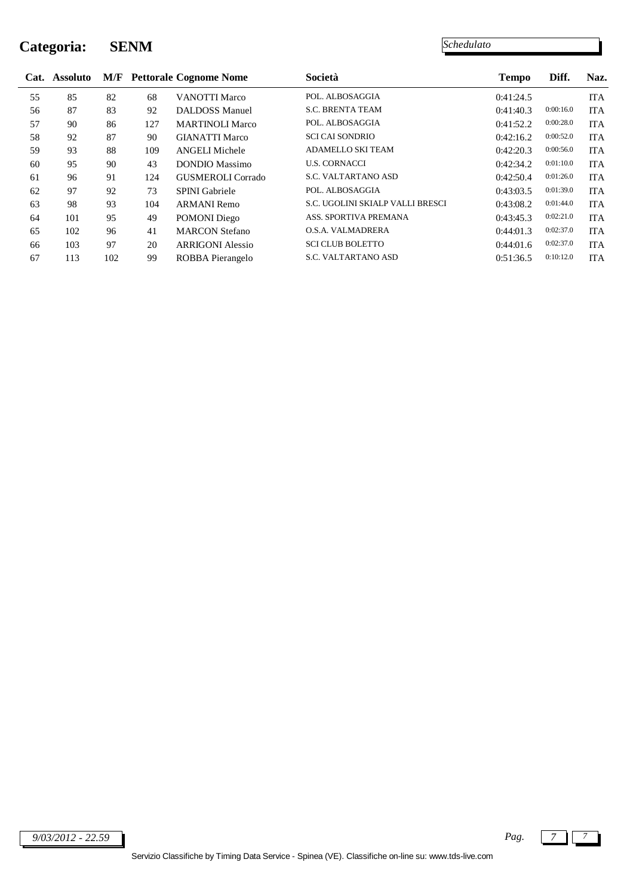### **Categoria: SENM**

*Schedulato*

|    | Cat. Assoluto | M/F |     | <b>Pettorale Cognome Nome</b> | Società                          | <b>Tempo</b> | Diff.     | Naz.       |
|----|---------------|-----|-----|-------------------------------|----------------------------------|--------------|-----------|------------|
| 55 | 85            | 82  | 68  | <b>VANOTTI Marco</b>          | POL. ALBOSAGGIA                  | 0:41:24.5    |           | <b>ITA</b> |
| 56 | 87            | 83  | 92  | DALDOSS Manuel                | <b>S.C. BRENTA TEAM</b>          | 0:41:40.3    | 0:00:16.0 | <b>ITA</b> |
| 57 | 90            | 86  | 127 | <b>MARTINOLI Marco</b>        | POL. ALBOSAGGIA                  | 0:41:52.2    | 0:00:28.0 | <b>ITA</b> |
| 58 | 92            | 87  | 90  | <b>GIANATTI Marco</b>         | <b>SCI CAI SONDRIO</b>           | 0:42:16.2    | 0:00:52.0 | <b>ITA</b> |
| 59 | 93            | 88  | 109 | <b>ANGELI Michele</b>         | <b>ADAMELLO SKI TEAM</b>         | 0:42:20.3    | 0:00:56.0 | <b>ITA</b> |
| 60 | 95            | 90  | 43  | <b>DONDIO</b> Massimo         | <b>U.S. CORNACCI</b>             | 0:42:34.2    | 0:01:10.0 | <b>ITA</b> |
| 61 | 96            | 91  | 124 | GUSMEROLI Corrado             | <b>S.C. VALTARTANO ASD</b>       | 0:42:50.4    | 0:01:26.0 | <b>ITA</b> |
| 62 | 97            | 92  | 73  | <b>SPINI</b> Gabriele         | POL. ALBOSAGGIA                  | 0:43:03.5    | 0:01:39.0 | <b>ITA</b> |
| 63 | 98            | 93  | 104 | <b>ARMANI</b> Remo            | S.C. UGOLINI SKIALP VALLI BRESCI | 0:43:08.2    | 0:01:44.0 | <b>ITA</b> |
| 64 | 101           | 95  | 49  | <b>POMONI</b> Diego           | ASS. SPORTIVA PREMANA            | 0:43:45.3    | 0:02:21.0 | <b>ITA</b> |
| 65 | 102           | 96  | 41  | <b>MARCON Stefano</b>         | <b>O.S.A. VALMADRERA</b>         | 0:44:01.3    | 0:02:37.0 | <b>ITA</b> |
| 66 | 103           | 97  | 20  | <b>ARRIGONI Alessio</b>       | <b>SCI CLUB BOLETTO</b>          | 0:44:01.6    | 0:02:37.0 | <b>ITA</b> |
| 67 | 113           | 102 | 99  | ROBBA Pierangelo              | <b>S.C. VALTARTANO ASD</b>       | 0:51:36.5    | 0:10:12.0 | <b>ITA</b> |

*9/03/2012 - 22.59 Pag. 7 7*

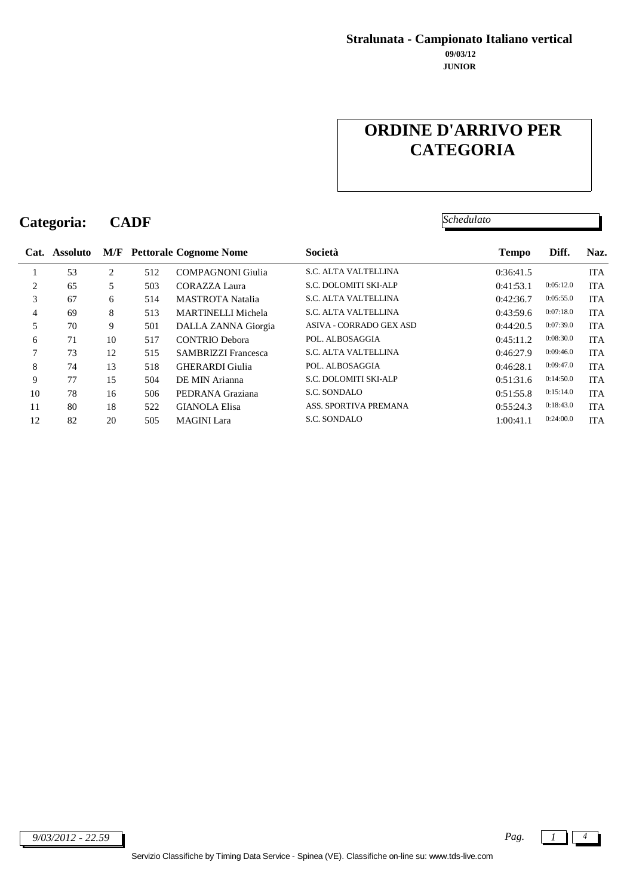#### **JUNIOR 09/03/12 Stralunata - Campionato Italiano vertical**

# **ORDINE D'ARRIVO PER CATEGORIA**

*Schedulato*

**Categoria: CADF**

|                | Cat. Assoluto |                |     | <b>M/F</b> Pettorale Cognome Nome | Società                     | <b>Tempo</b> | Diff.     | Naz.       |
|----------------|---------------|----------------|-----|-----------------------------------|-----------------------------|--------------|-----------|------------|
|                | 53            | $\overline{c}$ | 512 | <b>COMPAGNONI</b> Giulia          | <b>S.C. ALTA VALTELLINA</b> | 0:36:41.5    |           | <b>ITA</b> |
| 2              | 65            | 5              | 503 | CORAZZA Laura                     | S.C. DOLOMITI SKI-ALP       | 0:41:53.1    | 0:05:12.0 | <b>ITA</b> |
| 3              | 67            | 6              | 514 | <b>MASTROTA</b> Natalia           | <b>S.C. ALTA VALTELLINA</b> | 0:42:36.7    | 0:05:55.0 | <b>ITA</b> |
| $\overline{4}$ | 69            | 8              | 513 | MARTINELLI Michela                | <b>S.C. ALTA VALTELLINA</b> | 0:43:59.6    | 0:07:18.0 | <b>ITA</b> |
| 5              | 70            | 9              | 501 | DALLA ZANNA Giorgia               | ASIVA - CORRADO GEX ASD     | 0:44:20.5    | 0:07:39.0 | <b>ITA</b> |
| 6              | 71            | 10             | 517 | <b>CONTRIO Debora</b>             | POL. ALBOSAGGIA             | 0:45:11.2    | 0:08:30.0 | <b>ITA</b> |
| 7              | 73            | 12             | 515 | <b>SAMBRIZZI Francesca</b>        | <b>S.C. ALTA VALTELLINA</b> | 0:46:27.9    | 0:09:46.0 | <b>ITA</b> |
| 8              | 74            | 13             | 518 | <b>GHERARDI</b> Giulia            | POL. ALBOSAGGIA             | 0:46:28.1    | 0:09:47.0 | <b>ITA</b> |
| 9              | 77            | 15             | 504 | DE MIN Arianna                    | S.C. DOLOMITI SKI-ALP       | 0:51:31.6    | 0:14:50.0 | <b>ITA</b> |
| 10             | 78            | 16             | 506 | PEDRANA Graziana                  | <b>S.C. SONDALO</b>         | 0:51:55.8    | 0:15:14.0 | <b>ITA</b> |
| 11             | 80            | 18             | 522 | <b>GIANOLA Elisa</b>              | ASS. SPORTIVA PREMANA       | 0:55:24.3    | 0:18:43.0 | <b>ITA</b> |
| 12             | 82            | 20             | 505 | <b>MAGINI</b> Lara                | <b>S.C. SONDALO</b>         | 1:00:41.1    | 0:24:00.0 | <b>ITA</b> |
|                |               |                |     |                                   |                             |              |           |            |

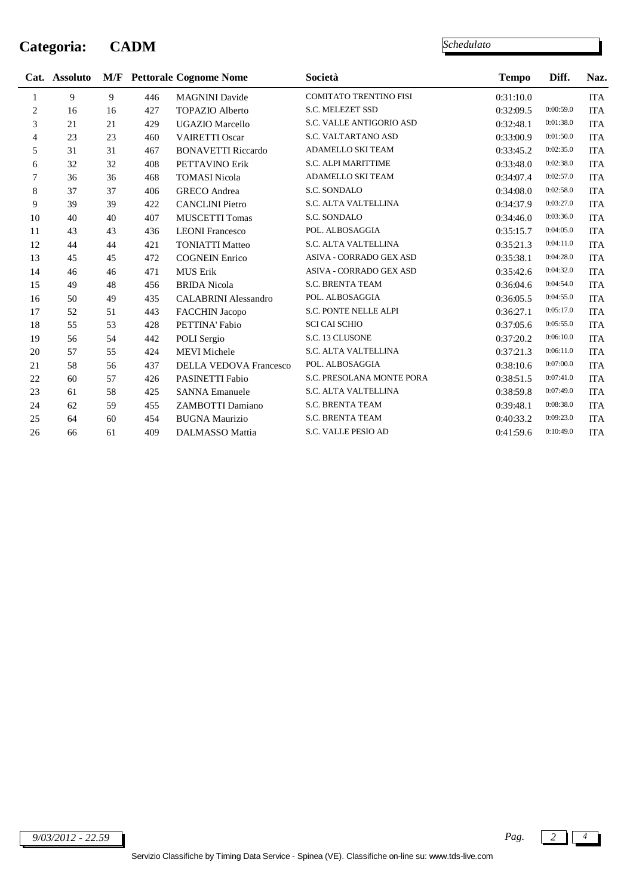### **Categoria: CADM**

|    | Cat. Assoluto |    |     | <b>M/F</b> Pettorale Cognome Nome | Società                       | <b>Tempo</b> | Diff.     | Naz.       |
|----|---------------|----|-----|-----------------------------------|-------------------------------|--------------|-----------|------------|
| 1  | 9             | 9  | 446 | <b>MAGNINI</b> Davide             | <b>COMITATO TRENTINO FISI</b> | 0:31:10.0    |           | ITA        |
| 2  | 16            | 16 | 427 | <b>TOPAZIO Alberto</b>            | S.C. MELEZET SSD              | 0:32:09.5    | 0:00:59.0 | <b>ITA</b> |
| 3  | 21            | 21 | 429 | <b>UGAZIO Marcello</b>            | S.C. VALLE ANTIGORIO ASD      | 0:32:48.1    | 0:01:38.0 | <b>ITA</b> |
| 4  | 23            | 23 | 460 | <b>VAIRETTI Oscar</b>             | S.C. VALTARTANO ASD           | 0:33:00.9    | 0:01:50.0 | <b>ITA</b> |
| 5  | 31            | 31 | 467 | <b>BONAVETTI Riccardo</b>         | ADAMELLO SKI TEAM             | 0:33:45.2    | 0:02:35.0 | <b>ITA</b> |
| 6  | 32            | 32 | 408 | PETTAVINO Erik                    | S.C. ALPI MARITTIME           | 0:33:48.0    | 0:02:38.0 | <b>ITA</b> |
| 7  | 36            | 36 | 468 | <b>TOMASI Nicola</b>              | <b>ADAMELLO SKI TEAM</b>      | 0:34:07.4    | 0:02:57.0 | <b>ITA</b> |
| 8  | 37            | 37 | 406 | <b>GRECO</b> Andrea               | S.C. SONDALO                  | 0:34:08.0    | 0:02:58.0 | <b>ITA</b> |
| 9  | 39            | 39 | 422 | <b>CANCLINI</b> Pietro            | S.C. ALTA VALTELLINA          | 0:34:37.9    | 0:03:27.0 | <b>ITA</b> |
| 10 | 40            | 40 | 407 | <b>MUSCETTI Tomas</b>             | S.C. SONDALO                  | 0:34:46.0    | 0:03:36.0 | <b>ITA</b> |
| 11 | 43            | 43 | 436 | <b>LEONI</b> Francesco            | POL. ALBOSAGGIA               | 0:35:15.7    | 0:04:05.0 | <b>ITA</b> |
| 12 | 44            | 44 | 421 | <b>TONIATTI Matteo</b>            | S.C. ALTA VALTELLINA          | 0:35:21.3    | 0:04:11.0 | <b>ITA</b> |
| 13 | 45            | 45 | 472 | <b>COGNEIN Enrico</b>             | ASIVA - CORRADO GEX ASD       | 0:35:38.1    | 0:04:28.0 | <b>ITA</b> |
| 14 | 46            | 46 | 471 | <b>MUS Erik</b>                   | ASIVA - CORRADO GEX ASD       | 0:35:42.6    | 0:04:32.0 | <b>ITA</b> |
| 15 | 49            | 48 | 456 | <b>BRIDA</b> Nicola               | <b>S.C. BRENTA TEAM</b>       | 0:36:04.6    | 0:04:54.0 | <b>ITA</b> |
| 16 | 50            | 49 | 435 | <b>CALABRINI</b> Alessandro       | POL. ALBOSAGGIA               | 0:36:05.5    | 0:04:55.0 | <b>ITA</b> |
| 17 | 52            | 51 | 443 | FACCHIN Jacopo                    | S.C. PONTE NELLE ALPI         | 0:36:27.1    | 0:05:17.0 | <b>ITA</b> |
| 18 | 55            | 53 | 428 | PETTINA' Fabio                    | <b>SCI CAI SCHIO</b>          | 0:37:05.6    | 0:05:55.0 | <b>ITA</b> |
| 19 | 56            | 54 | 442 | POLI Sergio                       | S.C. 13 CLUSONE               | 0:37:20.2    | 0:06:10.0 | <b>ITA</b> |
| 20 | 57            | 55 | 424 | <b>MEVI</b> Michele               | S.C. ALTA VALTELLINA          | 0:37:21.3    | 0:06:11.0 | <b>ITA</b> |
| 21 | 58            | 56 | 437 | <b>DELLA VEDOVA Francesco</b>     | POL. ALBOSAGGIA               | 0:38:10.6    | 0:07:00.0 | <b>ITA</b> |
| 22 | 60            | 57 | 426 | PASINETTI Fabio                   | S.C. PRESOLANA MONTE PORA     | 0:38:51.5    | 0:07:41.0 | <b>ITA</b> |
| 23 | 61            | 58 | 425 | <b>SANNA Emanuele</b>             | S.C. ALTA VALTELLINA          | 0:38:59.8    | 0:07:49.0 | <b>ITA</b> |
| 24 | 62            | 59 | 455 | ZAMBOTTI Damiano                  | S.C. BRENTA TEAM              | 0:39:48.1    | 0:08:38.0 | <b>ITA</b> |
| 25 | 64            | 60 | 454 | <b>BUGNA Maurizio</b>             | <b>S.C. BRENTA TEAM</b>       | 0:40:33.2    | 0:09:23.0 | <b>ITA</b> |
| 26 | 66            | 61 | 409 | <b>DALMASSO Mattia</b>            | S.C. VALLE PESIO AD           | 0:41:59.6    | 0:10:49.0 | <b>ITA</b> |

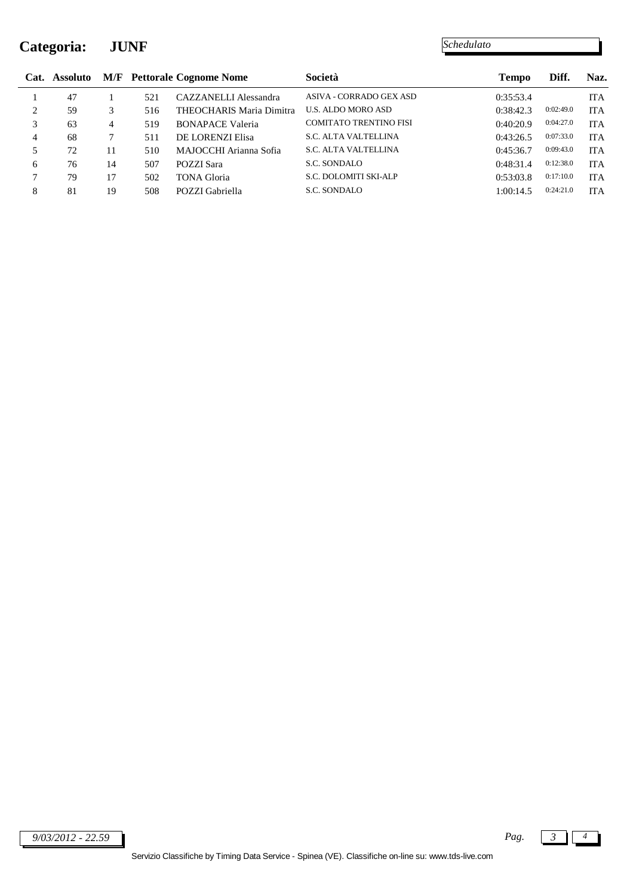### **Categoria: JUNF**

| Cat.           | Assoluto |    |     | <b>M/F</b> Pettorale Cognome Nome | Società                       | <b>Tempo</b> | Diff.     | Naz.       |
|----------------|----------|----|-----|-----------------------------------|-------------------------------|--------------|-----------|------------|
|                | 47       |    | 521 | CAZZANELLI Alessandra             | ASIVA - CORRADO GEX ASD       | 0:35:53.4    |           | ITA        |
| $\overline{c}$ | 59       |    | 516 | THEOCHARIS Maria Dimitra          | <b>U.S. ALDO MORO ASD</b>     | 0:38:42.3    | 0:02:49.0 | <b>ITA</b> |
|                | 63       | 4  | 519 | <b>BONAPACE Valeria</b>           | <b>COMITATO TRENTINO FISI</b> | 0:40:20.9    | 0:04:27.0 | <b>ITA</b> |
| $\overline{4}$ | 68       |    | 511 | DE LORENZI Elisa                  | <b>S.C. ALTA VALTELLINA</b>   | 0:43:26.5    | 0:07:33.0 | <b>ITA</b> |
|                | 72       | 11 | 510 | MAJOCCHI Arianna Sofia            | <b>S.C. ALTA VALTELLINA</b>   | 0:45:36.7    | 0:09:43.0 | <b>ITA</b> |
| 6              | 76       | 14 | 507 | POZZI Sara                        | S.C. SONDALO                  | 0:48:31.4    | 0:12:38.0 | <b>ITA</b> |
| 7              | 79       | 17 | 502 | <b>TONA Gloria</b>                | S.C. DOLOMITI SKI-ALP         | 0:53:03.8    | 0:17:10.0 | <b>ITA</b> |
| 8              | 81       | 19 | 508 | POZZI Gabriella                   | S.C. SONDALO                  | 1:00:14.5    | 0:24:21.0 | <b>ITA</b> |

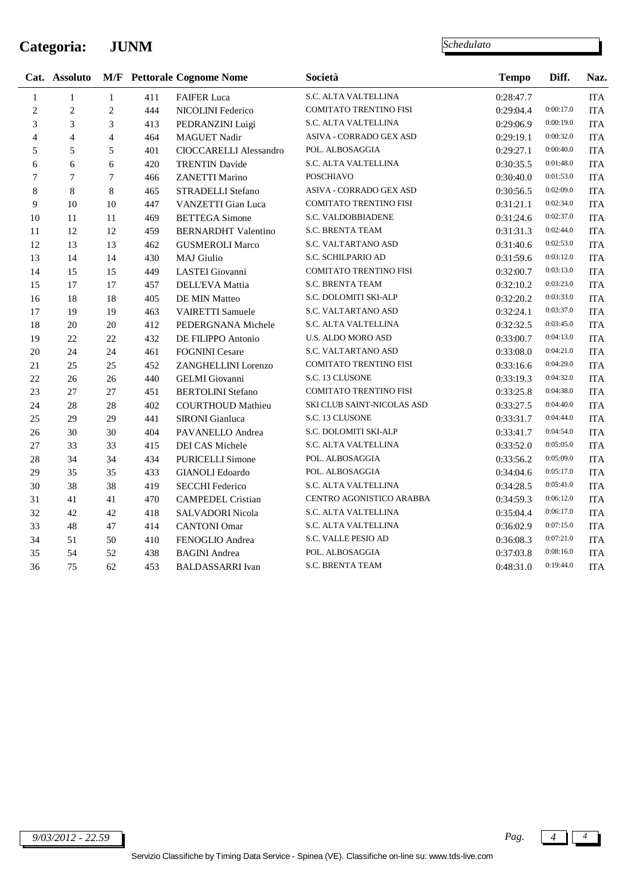### **Categoria: JUNM**

|              | Cat. Assoluto  |                |     | <b>M/F</b> Pettorale Cognome Nome | Società                       | <b>Tempo</b> | Diff.     | Naz.                      |
|--------------|----------------|----------------|-----|-----------------------------------|-------------------------------|--------------|-----------|---------------------------|
| $\mathbf{1}$ | $\mathbf{1}$   | $\mathbf{1}$   | 411 | <b>FAIFER Luca</b>                | S.C. ALTA VALTELLINA          | 0:28:47.7    |           | $\rm ITA$                 |
| $\sqrt{2}$   | $\mathbf{2}$   | $\overline{c}$ | 444 | NICOLINI Federico                 | <b>COMITATO TRENTINO FISI</b> | 0:29:04.4    | 0:00:17.0 | <b>ITA</b>                |
| 3            | 3              | 3              | 413 | PEDRANZINI Luigi                  | S.C. ALTA VALTELLINA          | 0:29:06.9    | 0:00:19.0 | <b>ITA</b>                |
| 4            | $\overline{4}$ | $\overline{4}$ | 464 | <b>MAGUET Nadir</b>               | ASIVA - CORRADO GEX ASD       | 0:29:19.1    | 0:00:32.0 | <b>ITA</b>                |
| 5            | 5              | 5              | 401 | CIOCCARELLI Alessandro            | POL. ALBOSAGGIA               | 0:29:27.1    | 0:00:40.0 | <b>ITA</b>                |
| 6            | 6              | 6              | 420 | <b>TRENTIN Davide</b>             | S.C. ALTA VALTELLINA          | 0:30:35.5    | 0:01:48.0 | <b>ITA</b>                |
| $\tau$       | $\tau$         | $\tau$         | 466 | ZANETTI Marino                    | <b>POSCHIAVO</b>              | 0:30:40.0    | 0:01:53.0 | <b>ITA</b>                |
| $\,8$        | 8              | 8              | 465 | STRADELLI Stefano                 | ASIVA - CORRADO GEX ASD       | 0:30:56.5    | 0:02:09.0 | <b>ITA</b>                |
| 9            | 10             | 10             | 447 | VANZETTI Gian Luca                | COMITATO TRENTINO FISI        | 0:31:21.1    | 0:02:34.0 | <b>ITA</b>                |
| 10           | 11             | 11             | 469 | <b>BETTEGA</b> Simone             | S.C. VALDOBBIADENE            | 0:31:24.6    | 0:02:37.0 | <b>ITA</b>                |
| 11           | 12             | 12             | 459 | <b>BERNARDHT Valentino</b>        | S.C. BRENTA TEAM              | 0:31:31.3    | 0:02:44.0 | <b>ITA</b>                |
| 12           | 13             | 13             | 462 | <b>GUSMEROLI Marco</b>            | S.C. VALTARTANO ASD           | 0:31:40.6    | 0:02:53.0 | <b>ITA</b>                |
| 13           | 14             | 14             | 430 | <b>MAJ</b> Giulio                 | S.C. SCHILPARIO AD            | 0:31:59.6    | 0:03:12.0 | <b>ITA</b>                |
| 14           | 15             | 15             | 449 | LASTEI Giovanni                   | COMITATO TRENTINO FISI        | 0:32:00.7    | 0:03:13.0 | <b>ITA</b>                |
| 15           | 17             | 17             | 457 | DELL'EVA Mattia                   | S.C. BRENTA TEAM              | 0:32:10.2    | 0:03:23.0 | <b>ITA</b>                |
| 16           | 18             | 18             | 405 | DE MIN Matteo                     | S.C. DOLOMITI SKI-ALP         | 0:32:20.2    | 0:03:33.0 | <b>ITA</b>                |
| 17           | 19             | 19             | 463 | VAIRETTI Samuele                  | S.C. VALTARTANO ASD           | 0:32:24.1    | 0:03:37.0 | <b>ITA</b>                |
| 18           | 20             | 20             | 412 | PEDERGNANA Michele                | S.C. ALTA VALTELLINA          | 0:32:32.5    | 0:03:45.0 | <b>ITA</b>                |
| 19           | 22             | 22             | 432 | DE FILIPPO Antonio                | U.S. ALDO MORO ASD            | 0:33:00.7    | 0:04:13.0 | <b>ITA</b>                |
| 20           | 24             | 24             | 461 | <b>FOGNINI</b> Cesare             | S.C. VALTARTANO ASD           | 0:33:08.0    | 0:04:21.0 | <b>ITA</b>                |
| 21           | 25             | 25             | 452 | ZANGHELLINI Lorenzo               | COMITATO TRENTINO FISI        | 0:33:16.6    | 0:04:29.0 | <b>ITA</b>                |
| 22           | 26             | 26             | 440 | <b>GELMI</b> Giovanni             | S.C. 13 CLUSONE               | 0:33:19.3    | 0:04:32.0 | <b>ITA</b>                |
| 23           | 27             | 27             | 451 | <b>BERTOLINI</b> Stefano          | COMITATO TRENTINO FISI        | 0:33:25.8    | 0:04:38.0 | <b>ITA</b>                |
| 24           | $28\,$         | 28             | 402 | <b>COURTHOUD Mathieu</b>          | SKI CLUB SAINT-NICOLAS ASD    | 0:33:27.5    | 0:04:40.0 | <b>ITA</b>                |
| 25           | 29             | 29             | 441 | SIRONI Gianluca                   | S.C. 13 CLUSONE               | 0:33:31.7    | 0:04:44.0 | $\ensuremath{\text{ITA}}$ |
| 26           | 30             | 30             | 404 | PAVANELLO Andrea                  | S.C. DOLOMITI SKI-ALP         | 0:33:41.7    | 0:04:54.0 | <b>ITA</b>                |
| 27           | 33             | 33             | 415 | DEI CAS Michele                   | S.C. ALTA VALTELLINA          | 0:33:52.0    | 0:05:05.0 | <b>ITA</b>                |
| 28           | 34             | 34             | 434 | <b>PURICELLI Simone</b>           | POL. ALBOSAGGIA               | 0:33:56.2    | 0:05:09.0 | <b>ITA</b>                |
| 29           | 35             | 35             | 433 | <b>GIANOLI</b> Edoardo            | POL. ALBOSAGGIA               | 0:34:04.6    | 0:05:17.0 | $\ensuremath{\text{ITA}}$ |
| 30           | 38             | 38             | 419 | <b>SECCHI Federico</b>            | S.C. ALTA VALTELLINA          | 0:34:28.5    | 0:05:41.0 | <b>ITA</b>                |
| 31           | 41             | 41             | 470 | <b>CAMPEDEL Cristian</b>          | CENTRO AGONISTICO ARABBA      | 0:34:59.3    | 0:06:12.0 | <b>ITA</b>                |
| 32           | 42             | 42             | 418 | SALVADORI Nicola                  | S.C. ALTA VALTELLINA          | 0:35:04.4    | 0:06:17.0 | <b>ITA</b>                |
| 33           | 48             | 47             | 414 | <b>CANTONI</b> Omar               | S.C. ALTA VALTELLINA          | 0:36:02.9    | 0:07:15.0 | <b>ITA</b>                |
| 34           | 51             | 50             | 410 | FENOGLIO Andrea                   | S.C. VALLE PESIO AD           | 0:36:08.3    | 0:07:21.0 | <b>ITA</b>                |
| 35           | 54             | 52             | 438 | <b>BAGINI</b> Andrea              | POL. ALBOSAGGIA               | 0:37:03.8    | 0:08:16.0 | <b>ITA</b>                |
| 36           | 75             | 62             | 453 | <b>BALDASSARRI</b> Ivan           | S.C. BRENTA TEAM              | 0:48:31.0    | 0:19:44.0 | <b>ITA</b>                |



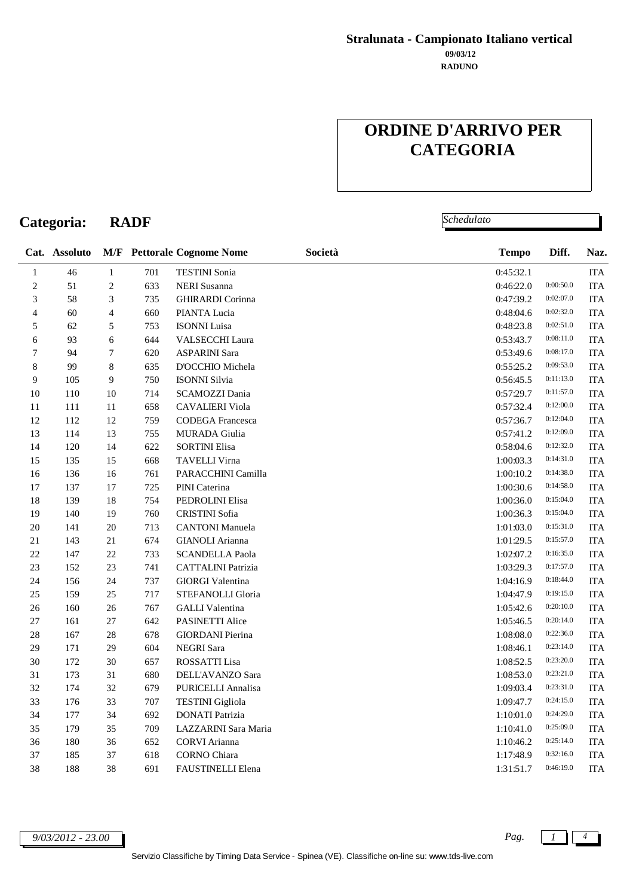#### **RADUNO 09/03/12 Stralunata - Campionato Italiano vertical**

# **ORDINE D'ARRIVO PER CATEGORIA**

*Schedulato*

|                | Cat. Assoluto |                  |     | <b>M/F</b> Pettorale Cognome Nome | Società | <b>Tempo</b> | Diff.     | Naz.       |
|----------------|---------------|------------------|-----|-----------------------------------|---------|--------------|-----------|------------|
| $\mathbf{1}$   | 46            | $\,1\,$          | 701 | <b>TESTINI</b> Sonia              |         | 0:45:32.1    |           | <b>ITA</b> |
| $\sqrt{2}$     | 51            | $\overline{c}$   | 633 | <b>NERI</b> Susanna               |         | 0:46:22.0    | 0:00:50.0 | $\rm ITA$  |
| 3              | 58            | 3                | 735 | <b>GHIRARDI</b> Corinna           |         | 0:47:39.2    | 0:02:07.0 | ITA        |
| $\overline{4}$ | 60            | $\overline{4}$   | 660 | PIANTA Lucia                      |         | 0:48:04.6    | 0:02:32.0 | <b>ITA</b> |
| 5              | 62            | 5                | 753 | <b>ISONNI</b> Luisa               |         | 0:48:23.8    | 0:02:51.0 | <b>ITA</b> |
| 6              | 93            | 6                | 644 | <b>VALSECCHI Laura</b>            |         | 0:53:43.7    | 0:08:11.0 | <b>ITA</b> |
| 7              | 94            | $\boldsymbol{7}$ | 620 | <b>ASPARINI Sara</b>              |         | 0:53:49.6    | 0:08:17.0 | <b>ITA</b> |
| $\,8\,$        | 99            | 8                | 635 | D'OCCHIO Michela                  |         | 0:55:25.2    | 0:09:53.0 | <b>ITA</b> |
| 9              | 105           | 9                | 750 | <b>ISONNI Silvia</b>              |         | 0:56:45.5    | 0:11:13.0 | $\rm ITA$  |
| 10             | 110           | 10               | 714 | SCAMOZZI Dania                    |         | 0:57:29.7    | 0:11:57.0 | ITA        |
| 11             | 111           | 11               | 658 | <b>CAVALIERI</b> Viola            |         | 0:57:32.4    | 0:12:00.0 | <b>ITA</b> |
| $12\,$         | 112           | 12               | 759 | CODEGA Francesca                  |         | 0:57:36.7    | 0:12:04.0 | $\rm ITA$  |
| 13             | 114           | 13               | 755 | <b>MURADA</b> Giulia              |         | 0:57:41.2    | 0:12:09.0 | <b>ITA</b> |
| 14             | 120           | 14               | 622 | <b>SORTINI Elisa</b>              |         | 0:58:04.6    | 0:12:32.0 | <b>ITA</b> |
| 15             | 135           | 15               | 668 | TAVELLI Virna                     |         | 1:00:03.3    | 0:14:31.0 | <b>ITA</b> |
| 16             | 136           | 16               | 761 | PARACCHINI Camilla                |         | 1:00:10.2    | 0:14:38.0 | <b>ITA</b> |
| 17             | 137           | 17               | 725 | PINI Caterina                     |         | 1:00:30.6    | 0:14:58.0 | ITA        |
| $18\,$         | 139           | 18               | 754 | PEDROLINI Elisa                   |         | 1:00:36.0    | 0:15:04.0 | <b>ITA</b> |
| 19             | 140           | 19               | 760 | CRISTINI Sofia                    |         | 1:00:36.3    | 0:15:04.0 | <b>ITA</b> |
| $20\,$         | 141           | 20               | 713 | <b>CANTONI</b> Manuela            |         | 1:01:03.0    | 0:15:31.0 | <b>ITA</b> |
| 21             | 143           | 21               | 674 | <b>GIANOLI</b> Arianna            |         | 1:01:29.5    | 0:15:57.0 | <b>ITA</b> |
| 22             | 147           | 22               | 733 | <b>SCANDELLA Paola</b>            |         | 1:02:07.2    | 0:16:35.0 | <b>ITA</b> |
| 23             | 152           | 23               | 741 | <b>CATTALINI</b> Patrizia         |         | 1:03:29.3    | 0:17:57.0 | <b>ITA</b> |
| 24             | 156           | 24               | 737 | <b>GIORGI Valentina</b>           |         | 1:04:16.9    | 0:18:44.0 | <b>ITA</b> |
| 25             | 159           | 25               | 717 | STEFANOLLI Gloria                 |         | 1:04:47.9    | 0:19:15.0 | <b>ITA</b> |
| 26             | 160           | 26               | 767 | <b>GALLI</b> Valentina            |         | 1:05:42.6    | 0:20:10.0 | <b>ITA</b> |
| 27             | 161           | 27               | 642 | PASINETTI Alice                   |         | 1:05:46.5    | 0:20:14.0 | <b>ITA</b> |
| $28\,$         | 167           | 28               | 678 | <b>GIORDANI</b> Pierina           |         | 1:08:08.0    | 0:22:36.0 | <b>ITA</b> |
| 29             | 171           | 29               | 604 | NEGRI Sara                        |         | 1:08:46.1    | 0:23:14.0 | <b>ITA</b> |
| 30             | 172           | 30               | 657 | ROSSATTI Lisa                     |         | 1:08:52.5    | 0:23:20.0 | <b>ITA</b> |
| 31             | 173           | 31               | 680 | DELL'AVANZO Sara                  |         | 1:08:53.0    | 0:23:21.0 | ITA        |
| 32             | 174           | 32               | 679 | PURICELLI Annalisa                |         | 1:09:03.4    | 0:23:31.0 | <b>ITA</b> |
| 33             | 176           | 33               | 707 | <b>TESTINI</b> Gigliola           |         | 1:09:47.7    | 0:24:15.0 | $\rm ITA$  |
| 34             | 177           | 34               | 692 | <b>DONATI</b> Patrizia            |         | 1:10:01.0    | 0:24:29.0 | <b>ITA</b> |
| 35             | 179           | 35               | 709 | LAZZARINI Sara Maria              |         | 1:10:41.0    | 0:25:09.0 | <b>ITA</b> |
| 36             | 180           | 36               | 652 | <b>CORVI</b> Arianna              |         | 1:10:46.2    | 0:25:14.0 | <b>ITA</b> |
| 37             | 185           | 37               | 618 | <b>CORNO</b> Chiara               |         | 1:17:48.9    | 0:32:16.0 | <b>ITA</b> |
| 38             | 188           | 38               | 691 | FAUSTINELLI Elena                 |         | 1:31:51.7    | 0:46:19.0 | <b>ITA</b> |

*9/03/2012 - 23.00 Pag. 1 4*

**Categoria: RADF**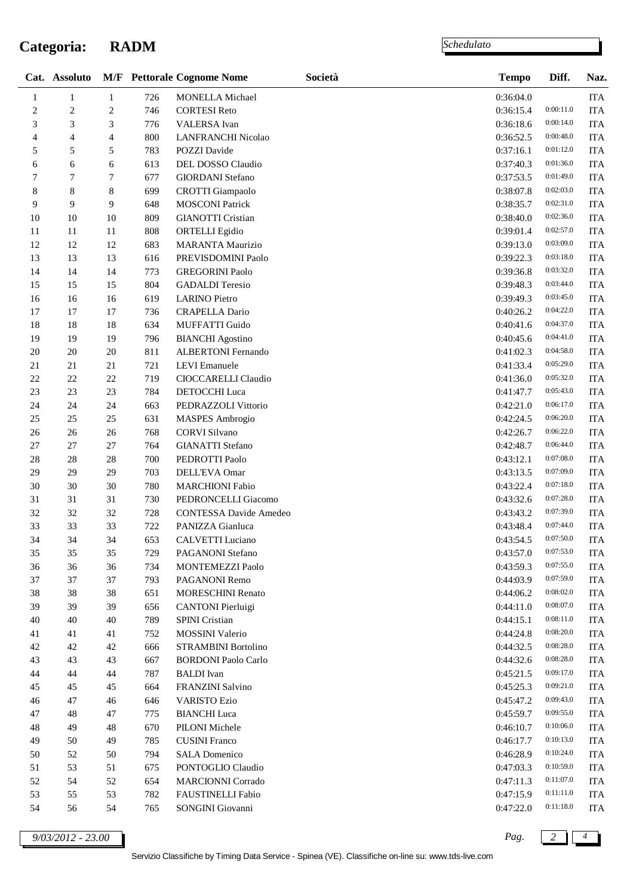### **Categoria: RADM**

 $\overline{a}$ 

*Schedulato*

|                | Cat. Assoluto  |                |     | <b>M/F</b> Pettorale Cognome Nome | Società | <b>Tempo</b> | Diff.     | Naz.       |
|----------------|----------------|----------------|-----|-----------------------------------|---------|--------------|-----------|------------|
| 1              | $\mathbf{1}$   | $\mathbf{1}$   | 726 | MONELLA Michael                   |         | 0:36:04.0    |           | <b>ITA</b> |
| $\overline{c}$ | $\sqrt{2}$     | $\sqrt{2}$     | 746 | <b>CORTESI Reto</b>               |         | 0:36:15.4    | 0:00:11.0 | <b>ITA</b> |
| 3              | $\mathfrak{Z}$ | 3              | 776 | VALERSA Ivan                      |         | 0:36:18.6    | 0:00:14.0 | <b>ITA</b> |
| 4              | 4              | 4              | 800 | LANFRANCHI Nicolao                |         | 0:36:52.5    | 0:00:48.0 | <b>ITA</b> |
| 5              | 5              | 5              | 783 | POZZI Davide                      |         | 0:37:16.1    | 0:01:12.0 | <b>ITA</b> |
| 6              | 6              | 6              | 613 | DEL DOSSO Claudio                 |         | 0:37:40.3    | 0:01:36.0 | <b>ITA</b> |
| 7              | $\overline{7}$ | $\overline{7}$ | 677 | <b>GIORDANI</b> Stefano           |         | 0:37:53.5    | 0:01:49.0 | <b>ITA</b> |
| 8              | 8              | 8              | 699 | <b>CROTTI</b> Giampaolo           |         | 0:38:07.8    | 0:02:03.0 | <b>ITA</b> |
| 9              | 9              | 9              | 648 | <b>MOSCONI Patrick</b>            |         | 0:38:35.7    | 0:02:31.0 | <b>ITA</b> |
| 10             | 10             | 10             | 809 | <b>GIANOTTI Cristian</b>          |         | 0:38:40.0    | 0:02:36.0 | <b>ITA</b> |
| 11             | 11             | $11\,$         | 808 | <b>ORTELLI</b> Egidio             |         | 0:39:01.4    | 0:02:57.0 | <b>ITA</b> |
| 12             | 12             | 12             | 683 | <b>MARANTA Maurizio</b>           |         | 0:39:13.0    | 0:03:09.0 | <b>ITA</b> |
| 13             | 13             | 13             | 616 | PREVISDOMINI Paolo                |         | 0:39:22.3    | 0:03:18.0 | <b>ITA</b> |
| 14             | 14             | 14             | 773 | <b>GREGORINI Paolo</b>            |         | 0:39:36.8    | 0:03:32.0 | <b>ITA</b> |
| 15             | 15             | 15             | 804 | <b>GADALDI</b> Teresio            |         | 0:39:48.3    | 0:03:44.0 | <b>ITA</b> |
| 16             | 16             | 16             | 619 | <b>LARINO</b> Pietro              |         | 0:39:49.3    | 0:03:45.0 | <b>ITA</b> |
| 17             | 17             | 17             | 736 | <b>CRAPELLA Dario</b>             |         | 0:40:26.2    | 0:04:22.0 | <b>ITA</b> |
| $18\,$         | 18             | 18             | 634 | <b>MUFFATTI Guido</b>             |         | 0:40:41.6    | 0:04:37.0 | <b>ITA</b> |
| 19             | 19             | 19             | 796 | <b>BIANCHI</b> Agostino           |         | 0:40:45.6    | 0:04:41.0 | <b>ITA</b> |
| $20\,$         | 20             | $20\,$         | 811 | ALBERTONI Fernando                |         | 0:41:02.3    | 0:04:58.0 | <b>ITA</b> |
| 21             | 21             | 21             | 721 | LEVI Emanuele                     |         | 0:41:33.4    | 0:05:29.0 | <b>ITA</b> |
| 22             | 22             | $22\,$         | 719 | CIOCCARELLI Claudio               |         | 0:41:36.0    | 0:05:32.0 | <b>ITA</b> |
| 23             | 23             | 23             | 784 | <b>DETOCCHI</b> Luca              |         | 0:41:47.7    | 0:05:43.0 | <b>ITA</b> |
| 24             | 24             | 24             | 663 | PEDRAZZOLI Vittorio               |         | 0:42:21.0    | 0:06:17.0 | <b>ITA</b> |
| 25             | 25             | 25             | 631 | <b>MASPES</b> Ambrogio            |         | 0:42:24.5    | 0:06:20.0 | <b>ITA</b> |
| $26\,$         | 26             | 26             | 768 | <b>CORVI Silvano</b>              |         | 0:42:26.7    | 0:06:22.0 | <b>ITA</b> |
| 27             | 27             | 27             | 764 | <b>GIANATTI</b> Stefano           |         | 0:42:48.7    | 0:06:44.0 | <b>ITA</b> |
| 28             | 28             | $28\,$         | 700 | PEDROTTI Paolo                    |         | 0:43:12.1    | 0:07:08.0 | <b>ITA</b> |
| 29             | 29             | 29             | 703 | DELL'EVA Omar                     |         | 0:43:13.5    | 0:07:09.0 | <b>ITA</b> |
| 30             | 30             | 30             | 780 | <b>MARCHIONI Fabio</b>            |         | 0:43:22.4    | 0:07:18.0 | <b>ITA</b> |
| 31             | 31             | 31             | 730 | PEDRONCELLI Giacomo               |         | 0:43:32.6    | 0:07:28.0 | <b>ITA</b> |
| 32             | 32             | 32             | 728 | <b>CONTESSA Davide Amedeo</b>     |         | 0:43:43.2    | 0:07:39.0 | <b>ITA</b> |
| 33             | 33             | 33             | 722 | PANIZZA Gianluca                  |         | 0:43:48.4    | 0:07:44.0 | <b>ITA</b> |
| 34             | 34             | 34             | 653 | CALVETTI Luciano                  |         | 0:43:54.5    | 0:07:50.0 | <b>ITA</b> |
| 35             | 35             | 35             | 729 | PAGANONI Stefano                  |         | 0:43:57.0    | 0:07:53.0 | <b>ITA</b> |
| 36             | 36             | 36             | 734 | MONTEMEZZI Paolo                  |         | 0:43:59.3    | 0:07:55.0 | <b>ITA</b> |
| 37             | 37             | 37             | 793 | PAGANONI Remo                     |         | 0:44:03.9    | 0:07:59.0 | <b>ITA</b> |
| 38             | 38             | 38             | 651 | <b>MORESCHINI Renato</b>          |         | 0:44:06.2    | 0:08:02.0 | <b>ITA</b> |
| 39             | 39             | 39             | 656 | <b>CANTONI</b> Pierluigi          |         | 0:44:11.0    | 0:08:07.0 | <b>ITA</b> |
| 40             | 40             | 40             | 789 | <b>SPINI</b> Cristian             |         | 0:44:15.1    | 0:08:11.0 | <b>ITA</b> |
| 41             | 41             | 41             | 752 | MOSSINI Valerio                   |         | 0:44:24.8    | 0:08:20.0 | <b>ITA</b> |
| 42             | 42             | 42             | 666 | STRAMBINI Bortolino               |         | 0:44:32.5    | 0:08:28.0 | <b>ITA</b> |
| 43             | 43             | 43             | 667 | <b>BORDONI</b> Paolo Carlo        |         | 0:44:32.6    | 0:08:28.0 | <b>ITA</b> |
| 44             | 44             | 44             | 787 | <b>BALDI</b> Ivan                 |         | 0:45:21.5    | 0:09:17.0 | <b>ITA</b> |
| 45             | 45             | 45             | 664 | FRANZINI Salvino                  |         | 0:45:25.3    | 0:09:21.0 | <b>ITA</b> |
| 46             | 47             | 46             | 646 | <b>VARISTO Ezio</b>               |         | 0:45:47.2    | 0:09:43.0 | <b>ITA</b> |
| 47             | 48             | 47             | 775 | <b>BIANCHI</b> Luca               |         | 0:45:59.7    | 0:09:55.0 | <b>ITA</b> |
| 48             | 49             | 48             | 670 | PILONI Michele                    |         | 0:46:10.7    | 0:10:06.0 | <b>ITA</b> |
| 49             | 50             | 49             | 785 | <b>CUSINI</b> Franco              |         | 0:46:17.7    | 0:10:13.0 | <b>ITA</b> |
| 50             | 52             | 50             | 794 | <b>SALA Domenico</b>              |         | 0:46:28.9    | 0:10:24.0 | <b>ITA</b> |
| 51             | 53             | 51             | 675 | PONTOGLIO Claudio                 |         | 0:47:03.3    | 0:10:59.0 | <b>ITA</b> |
| 52             | 54             | 52             | 654 | <b>MARCIONNI Corrado</b>          |         | 0:47:11.3    | 0:11:07.0 | <b>ITA</b> |
| 53             | 55             | 53             | 782 | FAUSTINELLI Fabio                 |         | 0:47:15.9    | 0:11:11.0 | <b>ITA</b> |
| 54             | 56             | 54             | 765 | SONGINI Giovanni                  |         | 0:47:22.0    | 0:11:18.0 | <b>ITA</b> |

*9/03/2012 - 23.00 Pag. 2 4*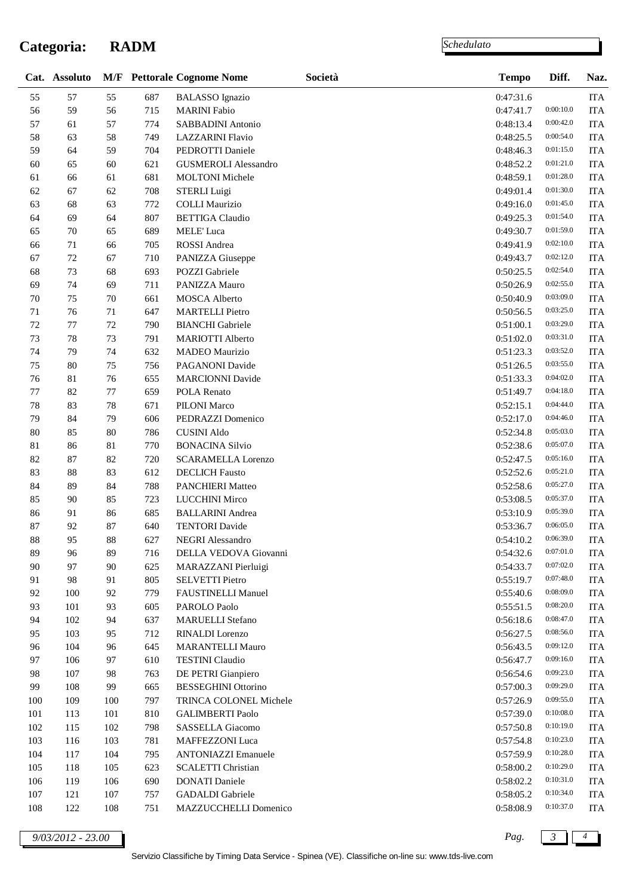### **Categoria: RADM**

*Schedulato*

| 55<br>55<br>687<br>57<br>0:47:31.6<br><b>BALASSO</b> Ignazio<br>0:00:10.0<br>56<br>59<br>56<br>715<br><b>MARINI</b> Fabio<br>0:47:41.7<br>57<br>57<br>0:00:42.0<br>61<br>774<br>SABBADINI Antonio<br>0:48:13.4<br>0:00:54.0<br>58<br>58<br>0:48:25.5<br>63<br>749<br><b>LAZZARINI Flavio</b><br>59<br>59<br>0:01:15.0<br>64<br>704<br>PEDROTTI Daniele<br>0:48:46.3<br>0:01:21.0<br>60<br>60<br>0:48:52.2<br>65<br>621<br><b>GUSMEROLI Alessandro</b><br>61<br>681<br>0:01:28.0<br>61<br>66<br><b>MOLTONI</b> Michele<br>0:48:59.1<br>0:01:30.0<br>62<br>62<br>67<br>708<br><b>STERLI</b> Luigi<br>0:49:01.4<br>0:01:45.0<br>63<br>63<br>68<br>772<br><b>COLLI</b> Maurizio<br>0:49:16.0<br>0:01:54.0<br>64<br>64<br>0:49:25.3<br>69<br>807<br><b>BETTIGA</b> Claudio<br>0:01:59.0<br>65<br>70<br>65<br>689<br>MELE' Luca<br>0:49:30.7<br>0:02:10.0<br>66<br>71<br>66<br>705<br>ROSSI Andrea<br>0:49:41.9<br>67<br>0:02:12.0<br>72<br>67<br>710<br>PANIZZA Giuseppe<br>0:49:43.7<br>0:02:54.0<br>68<br>73<br>68<br>0:50:25.5<br>693<br>POZZI Gabriele<br>69<br>0:02:55.0<br>74<br>69<br>711<br>PANIZZA Mauro<br>0:50:26.9<br>0:03:09.0<br>$70\,$<br>75<br>$70\,$<br>0:50:40.9<br>661<br><b>MOSCA</b> Alberto<br>0:03:25.0<br>$71\,$<br>0:50:56.5<br>71<br>76<br>647<br><b>MARTELLI</b> Pietro<br>$72\,$<br>72<br><b>BIANCHI</b> Gabriele<br>0:03:29.0<br>77<br>790<br>0:51:00.1<br>73<br>0:03:31.0<br>73<br>78<br><b>MARIOTTI Alberto</b><br>791<br>0:51:02.0<br>74<br>0:03:52.0<br>74<br>79<br>MADEO Maurizio<br>632<br>0:51:23.3<br>75<br>0:03:55.0<br>75<br>80<br>756<br>PAGANONI Davide<br>0:51:26.5<br>0:04:02.0<br>76<br>76<br>$81\,$<br>655<br><b>MARCIONNI Davide</b><br>0:51:33.3<br>$77\,$<br>$77 \,$<br>0:04:18.0<br>82<br>659<br>POLA Renato<br>0:51:49.7<br>$78\,$<br>83<br>$78\,$<br>671<br>0:04:44.0<br><b>PILONI Marco</b><br>0:52:15.1<br>79<br>0:04:46.0<br>84<br>79<br>606<br>PEDRAZZI Domenico<br>0:52:17.0<br>0:05:03.0<br>$80\,$<br>85<br>0:52:34.8<br>80<br>786<br><b>CUSINI Aldo</b><br>0:05:07.0<br>81<br>$81\,$<br>86<br>770<br><b>BONACINA Silvio</b><br>0:52:38.6<br>0:05:16.0<br>82<br>87<br>82<br>0:52:47.5<br>720<br><b>SCARAMELLA Lorenzo</b><br>83<br>0:05:21.0<br>83<br>88<br>612<br><b>DECLICH Fausto</b><br>0:52:52.6<br>0:05:27.0<br>84<br>84<br>89<br>788<br>PANCHIERI Matteo<br>0:52:58.6<br>0:05:37.0<br>85<br>85<br>90<br>723<br><b>LUCCHINI Mirco</b><br>0:53:08.5<br>86<br>86<br>0:05:39.0<br>91<br>685<br><b>BALLARINI</b> Andrea<br>0:53:10.9<br>87<br>87<br><b>TENTORI</b> Davide<br>0:53:36.7<br>0:06:05.0<br>92<br>640<br>0:06:39.0<br>95<br>88<br>627<br>88<br><b>NEGRI</b> Alessandro<br>0:54:10.2<br>0:07:01.0<br>89<br>96<br>89<br>716<br>DELLA VEDOVA Giovanni<br>0:54:32.6<br>0:07:02.0<br>97<br>625<br>0:54:33.7<br>90<br>90<br>MARAZZANI Pierluigi<br>0:07:48.0<br>0:55:19.7<br>91 | <b>ITA</b><br><b>ITA</b><br><b>ITA</b><br><b>ITA</b><br><b>ITA</b><br><b>ITA</b><br><b>ITA</b><br><b>ITA</b><br><b>ITA</b><br><b>ITA</b><br><b>ITA</b><br><b>ITA</b><br><b>ITA</b><br><b>ITA</b><br><b>ITA</b><br><b>ITA</b><br><b>ITA</b><br><b>ITA</b><br><b>ITA</b><br><b>ITA</b><br><b>ITA</b><br><b>ITA</b><br><b>ITA</b> |
|--------------------------------------------------------------------------------------------------------------------------------------------------------------------------------------------------------------------------------------------------------------------------------------------------------------------------------------------------------------------------------------------------------------------------------------------------------------------------------------------------------------------------------------------------------------------------------------------------------------------------------------------------------------------------------------------------------------------------------------------------------------------------------------------------------------------------------------------------------------------------------------------------------------------------------------------------------------------------------------------------------------------------------------------------------------------------------------------------------------------------------------------------------------------------------------------------------------------------------------------------------------------------------------------------------------------------------------------------------------------------------------------------------------------------------------------------------------------------------------------------------------------------------------------------------------------------------------------------------------------------------------------------------------------------------------------------------------------------------------------------------------------------------------------------------------------------------------------------------------------------------------------------------------------------------------------------------------------------------------------------------------------------------------------------------------------------------------------------------------------------------------------------------------------------------------------------------------------------------------------------------------------------------------------------------------------------------------------------------------------------------------------------------------------------------------------------------------------------------------------------------------------------------------------------------------------------------------------------------------------------------------------------------------------------------------------------------------------------------------------------------------------------------------------------------------------------------------------|--------------------------------------------------------------------------------------------------------------------------------------------------------------------------------------------------------------------------------------------------------------------------------------------------------------------------------|
|                                                                                                                                                                                                                                                                                                                                                                                                                                                                                                                                                                                                                                                                                                                                                                                                                                                                                                                                                                                                                                                                                                                                                                                                                                                                                                                                                                                                                                                                                                                                                                                                                                                                                                                                                                                                                                                                                                                                                                                                                                                                                                                                                                                                                                                                                                                                                                                                                                                                                                                                                                                                                                                                                                                                                                                                                                            |                                                                                                                                                                                                                                                                                                                                |
|                                                                                                                                                                                                                                                                                                                                                                                                                                                                                                                                                                                                                                                                                                                                                                                                                                                                                                                                                                                                                                                                                                                                                                                                                                                                                                                                                                                                                                                                                                                                                                                                                                                                                                                                                                                                                                                                                                                                                                                                                                                                                                                                                                                                                                                                                                                                                                                                                                                                                                                                                                                                                                                                                                                                                                                                                                            |                                                                                                                                                                                                                                                                                                                                |
|                                                                                                                                                                                                                                                                                                                                                                                                                                                                                                                                                                                                                                                                                                                                                                                                                                                                                                                                                                                                                                                                                                                                                                                                                                                                                                                                                                                                                                                                                                                                                                                                                                                                                                                                                                                                                                                                                                                                                                                                                                                                                                                                                                                                                                                                                                                                                                                                                                                                                                                                                                                                                                                                                                                                                                                                                                            |                                                                                                                                                                                                                                                                                                                                |
|                                                                                                                                                                                                                                                                                                                                                                                                                                                                                                                                                                                                                                                                                                                                                                                                                                                                                                                                                                                                                                                                                                                                                                                                                                                                                                                                                                                                                                                                                                                                                                                                                                                                                                                                                                                                                                                                                                                                                                                                                                                                                                                                                                                                                                                                                                                                                                                                                                                                                                                                                                                                                                                                                                                                                                                                                                            |                                                                                                                                                                                                                                                                                                                                |
|                                                                                                                                                                                                                                                                                                                                                                                                                                                                                                                                                                                                                                                                                                                                                                                                                                                                                                                                                                                                                                                                                                                                                                                                                                                                                                                                                                                                                                                                                                                                                                                                                                                                                                                                                                                                                                                                                                                                                                                                                                                                                                                                                                                                                                                                                                                                                                                                                                                                                                                                                                                                                                                                                                                                                                                                                                            |                                                                                                                                                                                                                                                                                                                                |
|                                                                                                                                                                                                                                                                                                                                                                                                                                                                                                                                                                                                                                                                                                                                                                                                                                                                                                                                                                                                                                                                                                                                                                                                                                                                                                                                                                                                                                                                                                                                                                                                                                                                                                                                                                                                                                                                                                                                                                                                                                                                                                                                                                                                                                                                                                                                                                                                                                                                                                                                                                                                                                                                                                                                                                                                                                            |                                                                                                                                                                                                                                                                                                                                |
|                                                                                                                                                                                                                                                                                                                                                                                                                                                                                                                                                                                                                                                                                                                                                                                                                                                                                                                                                                                                                                                                                                                                                                                                                                                                                                                                                                                                                                                                                                                                                                                                                                                                                                                                                                                                                                                                                                                                                                                                                                                                                                                                                                                                                                                                                                                                                                                                                                                                                                                                                                                                                                                                                                                                                                                                                                            |                                                                                                                                                                                                                                                                                                                                |
|                                                                                                                                                                                                                                                                                                                                                                                                                                                                                                                                                                                                                                                                                                                                                                                                                                                                                                                                                                                                                                                                                                                                                                                                                                                                                                                                                                                                                                                                                                                                                                                                                                                                                                                                                                                                                                                                                                                                                                                                                                                                                                                                                                                                                                                                                                                                                                                                                                                                                                                                                                                                                                                                                                                                                                                                                                            |                                                                                                                                                                                                                                                                                                                                |
|                                                                                                                                                                                                                                                                                                                                                                                                                                                                                                                                                                                                                                                                                                                                                                                                                                                                                                                                                                                                                                                                                                                                                                                                                                                                                                                                                                                                                                                                                                                                                                                                                                                                                                                                                                                                                                                                                                                                                                                                                                                                                                                                                                                                                                                                                                                                                                                                                                                                                                                                                                                                                                                                                                                                                                                                                                            |                                                                                                                                                                                                                                                                                                                                |
|                                                                                                                                                                                                                                                                                                                                                                                                                                                                                                                                                                                                                                                                                                                                                                                                                                                                                                                                                                                                                                                                                                                                                                                                                                                                                                                                                                                                                                                                                                                                                                                                                                                                                                                                                                                                                                                                                                                                                                                                                                                                                                                                                                                                                                                                                                                                                                                                                                                                                                                                                                                                                                                                                                                                                                                                                                            |                                                                                                                                                                                                                                                                                                                                |
|                                                                                                                                                                                                                                                                                                                                                                                                                                                                                                                                                                                                                                                                                                                                                                                                                                                                                                                                                                                                                                                                                                                                                                                                                                                                                                                                                                                                                                                                                                                                                                                                                                                                                                                                                                                                                                                                                                                                                                                                                                                                                                                                                                                                                                                                                                                                                                                                                                                                                                                                                                                                                                                                                                                                                                                                                                            |                                                                                                                                                                                                                                                                                                                                |
|                                                                                                                                                                                                                                                                                                                                                                                                                                                                                                                                                                                                                                                                                                                                                                                                                                                                                                                                                                                                                                                                                                                                                                                                                                                                                                                                                                                                                                                                                                                                                                                                                                                                                                                                                                                                                                                                                                                                                                                                                                                                                                                                                                                                                                                                                                                                                                                                                                                                                                                                                                                                                                                                                                                                                                                                                                            |                                                                                                                                                                                                                                                                                                                                |
|                                                                                                                                                                                                                                                                                                                                                                                                                                                                                                                                                                                                                                                                                                                                                                                                                                                                                                                                                                                                                                                                                                                                                                                                                                                                                                                                                                                                                                                                                                                                                                                                                                                                                                                                                                                                                                                                                                                                                                                                                                                                                                                                                                                                                                                                                                                                                                                                                                                                                                                                                                                                                                                                                                                                                                                                                                            |                                                                                                                                                                                                                                                                                                                                |
|                                                                                                                                                                                                                                                                                                                                                                                                                                                                                                                                                                                                                                                                                                                                                                                                                                                                                                                                                                                                                                                                                                                                                                                                                                                                                                                                                                                                                                                                                                                                                                                                                                                                                                                                                                                                                                                                                                                                                                                                                                                                                                                                                                                                                                                                                                                                                                                                                                                                                                                                                                                                                                                                                                                                                                                                                                            |                                                                                                                                                                                                                                                                                                                                |
|                                                                                                                                                                                                                                                                                                                                                                                                                                                                                                                                                                                                                                                                                                                                                                                                                                                                                                                                                                                                                                                                                                                                                                                                                                                                                                                                                                                                                                                                                                                                                                                                                                                                                                                                                                                                                                                                                                                                                                                                                                                                                                                                                                                                                                                                                                                                                                                                                                                                                                                                                                                                                                                                                                                                                                                                                                            |                                                                                                                                                                                                                                                                                                                                |
|                                                                                                                                                                                                                                                                                                                                                                                                                                                                                                                                                                                                                                                                                                                                                                                                                                                                                                                                                                                                                                                                                                                                                                                                                                                                                                                                                                                                                                                                                                                                                                                                                                                                                                                                                                                                                                                                                                                                                                                                                                                                                                                                                                                                                                                                                                                                                                                                                                                                                                                                                                                                                                                                                                                                                                                                                                            |                                                                                                                                                                                                                                                                                                                                |
|                                                                                                                                                                                                                                                                                                                                                                                                                                                                                                                                                                                                                                                                                                                                                                                                                                                                                                                                                                                                                                                                                                                                                                                                                                                                                                                                                                                                                                                                                                                                                                                                                                                                                                                                                                                                                                                                                                                                                                                                                                                                                                                                                                                                                                                                                                                                                                                                                                                                                                                                                                                                                                                                                                                                                                                                                                            |                                                                                                                                                                                                                                                                                                                                |
|                                                                                                                                                                                                                                                                                                                                                                                                                                                                                                                                                                                                                                                                                                                                                                                                                                                                                                                                                                                                                                                                                                                                                                                                                                                                                                                                                                                                                                                                                                                                                                                                                                                                                                                                                                                                                                                                                                                                                                                                                                                                                                                                                                                                                                                                                                                                                                                                                                                                                                                                                                                                                                                                                                                                                                                                                                            |                                                                                                                                                                                                                                                                                                                                |
|                                                                                                                                                                                                                                                                                                                                                                                                                                                                                                                                                                                                                                                                                                                                                                                                                                                                                                                                                                                                                                                                                                                                                                                                                                                                                                                                                                                                                                                                                                                                                                                                                                                                                                                                                                                                                                                                                                                                                                                                                                                                                                                                                                                                                                                                                                                                                                                                                                                                                                                                                                                                                                                                                                                                                                                                                                            |                                                                                                                                                                                                                                                                                                                                |
|                                                                                                                                                                                                                                                                                                                                                                                                                                                                                                                                                                                                                                                                                                                                                                                                                                                                                                                                                                                                                                                                                                                                                                                                                                                                                                                                                                                                                                                                                                                                                                                                                                                                                                                                                                                                                                                                                                                                                                                                                                                                                                                                                                                                                                                                                                                                                                                                                                                                                                                                                                                                                                                                                                                                                                                                                                            |                                                                                                                                                                                                                                                                                                                                |
|                                                                                                                                                                                                                                                                                                                                                                                                                                                                                                                                                                                                                                                                                                                                                                                                                                                                                                                                                                                                                                                                                                                                                                                                                                                                                                                                                                                                                                                                                                                                                                                                                                                                                                                                                                                                                                                                                                                                                                                                                                                                                                                                                                                                                                                                                                                                                                                                                                                                                                                                                                                                                                                                                                                                                                                                                                            |                                                                                                                                                                                                                                                                                                                                |
|                                                                                                                                                                                                                                                                                                                                                                                                                                                                                                                                                                                                                                                                                                                                                                                                                                                                                                                                                                                                                                                                                                                                                                                                                                                                                                                                                                                                                                                                                                                                                                                                                                                                                                                                                                                                                                                                                                                                                                                                                                                                                                                                                                                                                                                                                                                                                                                                                                                                                                                                                                                                                                                                                                                                                                                                                                            |                                                                                                                                                                                                                                                                                                                                |
|                                                                                                                                                                                                                                                                                                                                                                                                                                                                                                                                                                                                                                                                                                                                                                                                                                                                                                                                                                                                                                                                                                                                                                                                                                                                                                                                                                                                                                                                                                                                                                                                                                                                                                                                                                                                                                                                                                                                                                                                                                                                                                                                                                                                                                                                                                                                                                                                                                                                                                                                                                                                                                                                                                                                                                                                                                            |                                                                                                                                                                                                                                                                                                                                |
|                                                                                                                                                                                                                                                                                                                                                                                                                                                                                                                                                                                                                                                                                                                                                                                                                                                                                                                                                                                                                                                                                                                                                                                                                                                                                                                                                                                                                                                                                                                                                                                                                                                                                                                                                                                                                                                                                                                                                                                                                                                                                                                                                                                                                                                                                                                                                                                                                                                                                                                                                                                                                                                                                                                                                                                                                                            | <b>ITA</b>                                                                                                                                                                                                                                                                                                                     |
|                                                                                                                                                                                                                                                                                                                                                                                                                                                                                                                                                                                                                                                                                                                                                                                                                                                                                                                                                                                                                                                                                                                                                                                                                                                                                                                                                                                                                                                                                                                                                                                                                                                                                                                                                                                                                                                                                                                                                                                                                                                                                                                                                                                                                                                                                                                                                                                                                                                                                                                                                                                                                                                                                                                                                                                                                                            | <b>ITA</b>                                                                                                                                                                                                                                                                                                                     |
|                                                                                                                                                                                                                                                                                                                                                                                                                                                                                                                                                                                                                                                                                                                                                                                                                                                                                                                                                                                                                                                                                                                                                                                                                                                                                                                                                                                                                                                                                                                                                                                                                                                                                                                                                                                                                                                                                                                                                                                                                                                                                                                                                                                                                                                                                                                                                                                                                                                                                                                                                                                                                                                                                                                                                                                                                                            | <b>ITA</b>                                                                                                                                                                                                                                                                                                                     |
|                                                                                                                                                                                                                                                                                                                                                                                                                                                                                                                                                                                                                                                                                                                                                                                                                                                                                                                                                                                                                                                                                                                                                                                                                                                                                                                                                                                                                                                                                                                                                                                                                                                                                                                                                                                                                                                                                                                                                                                                                                                                                                                                                                                                                                                                                                                                                                                                                                                                                                                                                                                                                                                                                                                                                                                                                                            | <b>ITA</b>                                                                                                                                                                                                                                                                                                                     |
|                                                                                                                                                                                                                                                                                                                                                                                                                                                                                                                                                                                                                                                                                                                                                                                                                                                                                                                                                                                                                                                                                                                                                                                                                                                                                                                                                                                                                                                                                                                                                                                                                                                                                                                                                                                                                                                                                                                                                                                                                                                                                                                                                                                                                                                                                                                                                                                                                                                                                                                                                                                                                                                                                                                                                                                                                                            | <b>ITA</b>                                                                                                                                                                                                                                                                                                                     |
|                                                                                                                                                                                                                                                                                                                                                                                                                                                                                                                                                                                                                                                                                                                                                                                                                                                                                                                                                                                                                                                                                                                                                                                                                                                                                                                                                                                                                                                                                                                                                                                                                                                                                                                                                                                                                                                                                                                                                                                                                                                                                                                                                                                                                                                                                                                                                                                                                                                                                                                                                                                                                                                                                                                                                                                                                                            | <b>ITA</b>                                                                                                                                                                                                                                                                                                                     |
|                                                                                                                                                                                                                                                                                                                                                                                                                                                                                                                                                                                                                                                                                                                                                                                                                                                                                                                                                                                                                                                                                                                                                                                                                                                                                                                                                                                                                                                                                                                                                                                                                                                                                                                                                                                                                                                                                                                                                                                                                                                                                                                                                                                                                                                                                                                                                                                                                                                                                                                                                                                                                                                                                                                                                                                                                                            | <b>ITA</b>                                                                                                                                                                                                                                                                                                                     |
|                                                                                                                                                                                                                                                                                                                                                                                                                                                                                                                                                                                                                                                                                                                                                                                                                                                                                                                                                                                                                                                                                                                                                                                                                                                                                                                                                                                                                                                                                                                                                                                                                                                                                                                                                                                                                                                                                                                                                                                                                                                                                                                                                                                                                                                                                                                                                                                                                                                                                                                                                                                                                                                                                                                                                                                                                                            | <b>ITA</b>                                                                                                                                                                                                                                                                                                                     |
|                                                                                                                                                                                                                                                                                                                                                                                                                                                                                                                                                                                                                                                                                                                                                                                                                                                                                                                                                                                                                                                                                                                                                                                                                                                                                                                                                                                                                                                                                                                                                                                                                                                                                                                                                                                                                                                                                                                                                                                                                                                                                                                                                                                                                                                                                                                                                                                                                                                                                                                                                                                                                                                                                                                                                                                                                                            | <b>ITA</b>                                                                                                                                                                                                                                                                                                                     |
|                                                                                                                                                                                                                                                                                                                                                                                                                                                                                                                                                                                                                                                                                                                                                                                                                                                                                                                                                                                                                                                                                                                                                                                                                                                                                                                                                                                                                                                                                                                                                                                                                                                                                                                                                                                                                                                                                                                                                                                                                                                                                                                                                                                                                                                                                                                                                                                                                                                                                                                                                                                                                                                                                                                                                                                                                                            | <b>ITA</b>                                                                                                                                                                                                                                                                                                                     |
|                                                                                                                                                                                                                                                                                                                                                                                                                                                                                                                                                                                                                                                                                                                                                                                                                                                                                                                                                                                                                                                                                                                                                                                                                                                                                                                                                                                                                                                                                                                                                                                                                                                                                                                                                                                                                                                                                                                                                                                                                                                                                                                                                                                                                                                                                                                                                                                                                                                                                                                                                                                                                                                                                                                                                                                                                                            | <b>ITA</b>                                                                                                                                                                                                                                                                                                                     |
|                                                                                                                                                                                                                                                                                                                                                                                                                                                                                                                                                                                                                                                                                                                                                                                                                                                                                                                                                                                                                                                                                                                                                                                                                                                                                                                                                                                                                                                                                                                                                                                                                                                                                                                                                                                                                                                                                                                                                                                                                                                                                                                                                                                                                                                                                                                                                                                                                                                                                                                                                                                                                                                                                                                                                                                                                                            | <b>ITA</b>                                                                                                                                                                                                                                                                                                                     |
|                                                                                                                                                                                                                                                                                                                                                                                                                                                                                                                                                                                                                                                                                                                                                                                                                                                                                                                                                                                                                                                                                                                                                                                                                                                                                                                                                                                                                                                                                                                                                                                                                                                                                                                                                                                                                                                                                                                                                                                                                                                                                                                                                                                                                                                                                                                                                                                                                                                                                                                                                                                                                                                                                                                                                                                                                                            | <b>ITA</b>                                                                                                                                                                                                                                                                                                                     |
| 98<br>91<br>805<br><b>SELVETTI Pietro</b><br>0:08:09.0                                                                                                                                                                                                                                                                                                                                                                                                                                                                                                                                                                                                                                                                                                                                                                                                                                                                                                                                                                                                                                                                                                                                                                                                                                                                                                                                                                                                                                                                                                                                                                                                                                                                                                                                                                                                                                                                                                                                                                                                                                                                                                                                                                                                                                                                                                                                                                                                                                                                                                                                                                                                                                                                                                                                                                                     | <b>ITA</b>                                                                                                                                                                                                                                                                                                                     |
| 92<br>92<br>779<br>100<br>FAUSTINELLI Manuel<br>0:55:40.6<br>0:08:20.0<br>93<br>93<br>101<br>605<br>PAROLO Paolo<br>0:55:51.5                                                                                                                                                                                                                                                                                                                                                                                                                                                                                                                                                                                                                                                                                                                                                                                                                                                                                                                                                                                                                                                                                                                                                                                                                                                                                                                                                                                                                                                                                                                                                                                                                                                                                                                                                                                                                                                                                                                                                                                                                                                                                                                                                                                                                                                                                                                                                                                                                                                                                                                                                                                                                                                                                                              | <b>ITA</b><br><b>ITA</b>                                                                                                                                                                                                                                                                                                       |
| 0:08:47.0<br>94<br>94<br>102<br>637<br><b>MARUELLI</b> Stefano<br>0:56:18.6                                                                                                                                                                                                                                                                                                                                                                                                                                                                                                                                                                                                                                                                                                                                                                                                                                                                                                                                                                                                                                                                                                                                                                                                                                                                                                                                                                                                                                                                                                                                                                                                                                                                                                                                                                                                                                                                                                                                                                                                                                                                                                                                                                                                                                                                                                                                                                                                                                                                                                                                                                                                                                                                                                                                                                | ITA                                                                                                                                                                                                                                                                                                                            |
| 0:08:56.0<br>95<br>95<br>103<br>712<br>RINALDI Lorenzo<br>0:56:27.5                                                                                                                                                                                                                                                                                                                                                                                                                                                                                                                                                                                                                                                                                                                                                                                                                                                                                                                                                                                                                                                                                                                                                                                                                                                                                                                                                                                                                                                                                                                                                                                                                                                                                                                                                                                                                                                                                                                                                                                                                                                                                                                                                                                                                                                                                                                                                                                                                                                                                                                                                                                                                                                                                                                                                                        | <b>ITA</b>                                                                                                                                                                                                                                                                                                                     |
| 0:09:12.0<br>96<br>96<br>104<br>645<br><b>MARANTELLI Mauro</b><br>0:56:43.5                                                                                                                                                                                                                                                                                                                                                                                                                                                                                                                                                                                                                                                                                                                                                                                                                                                                                                                                                                                                                                                                                                                                                                                                                                                                                                                                                                                                                                                                                                                                                                                                                                                                                                                                                                                                                                                                                                                                                                                                                                                                                                                                                                                                                                                                                                                                                                                                                                                                                                                                                                                                                                                                                                                                                                | <b>ITA</b>                                                                                                                                                                                                                                                                                                                     |
| 97<br>97<br>0:09:16.0<br>106<br>610<br><b>TESTINI</b> Claudio<br>0:56:47.7                                                                                                                                                                                                                                                                                                                                                                                                                                                                                                                                                                                                                                                                                                                                                                                                                                                                                                                                                                                                                                                                                                                                                                                                                                                                                                                                                                                                                                                                                                                                                                                                                                                                                                                                                                                                                                                                                                                                                                                                                                                                                                                                                                                                                                                                                                                                                                                                                                                                                                                                                                                                                                                                                                                                                                 | <b>ITA</b>                                                                                                                                                                                                                                                                                                                     |
| 0:09:23.0<br>98<br>107<br>98<br>763<br>DE PETRI Gianpiero<br>0:56:54.6                                                                                                                                                                                                                                                                                                                                                                                                                                                                                                                                                                                                                                                                                                                                                                                                                                                                                                                                                                                                                                                                                                                                                                                                                                                                                                                                                                                                                                                                                                                                                                                                                                                                                                                                                                                                                                                                                                                                                                                                                                                                                                                                                                                                                                                                                                                                                                                                                                                                                                                                                                                                                                                                                                                                                                     | <b>ITA</b>                                                                                                                                                                                                                                                                                                                     |
| 99<br>0:57:00.3<br>0:09:29.0<br>108<br>99<br>665<br><b>BESSEGHINI Ottorino</b>                                                                                                                                                                                                                                                                                                                                                                                                                                                                                                                                                                                                                                                                                                                                                                                                                                                                                                                                                                                                                                                                                                                                                                                                                                                                                                                                                                                                                                                                                                                                                                                                                                                                                                                                                                                                                                                                                                                                                                                                                                                                                                                                                                                                                                                                                                                                                                                                                                                                                                                                                                                                                                                                                                                                                             | <b>ITA</b>                                                                                                                                                                                                                                                                                                                     |
| 0:09:55.0<br>109<br>0:57:26.9<br>100<br>100<br>797<br>TRINCA COLONEL Michele                                                                                                                                                                                                                                                                                                                                                                                                                                                                                                                                                                                                                                                                                                                                                                                                                                                                                                                                                                                                                                                                                                                                                                                                                                                                                                                                                                                                                                                                                                                                                                                                                                                                                                                                                                                                                                                                                                                                                                                                                                                                                                                                                                                                                                                                                                                                                                                                                                                                                                                                                                                                                                                                                                                                                               | <b>ITA</b>                                                                                                                                                                                                                                                                                                                     |
| 101<br>101<br>0:57:39.0<br>0:10:08.0<br>113<br>810<br><b>GALIMBERTI Paolo</b>                                                                                                                                                                                                                                                                                                                                                                                                                                                                                                                                                                                                                                                                                                                                                                                                                                                                                                                                                                                                                                                                                                                                                                                                                                                                                                                                                                                                                                                                                                                                                                                                                                                                                                                                                                                                                                                                                                                                                                                                                                                                                                                                                                                                                                                                                                                                                                                                                                                                                                                                                                                                                                                                                                                                                              | <b>ITA</b>                                                                                                                                                                                                                                                                                                                     |
| 0:10:19.0<br>102<br>102<br>798<br>115<br>SASSELLA Giacomo<br>0:57:50.8                                                                                                                                                                                                                                                                                                                                                                                                                                                                                                                                                                                                                                                                                                                                                                                                                                                                                                                                                                                                                                                                                                                                                                                                                                                                                                                                                                                                                                                                                                                                                                                                                                                                                                                                                                                                                                                                                                                                                                                                                                                                                                                                                                                                                                                                                                                                                                                                                                                                                                                                                                                                                                                                                                                                                                     | <b>ITA</b>                                                                                                                                                                                                                                                                                                                     |
| 0:10:23.0<br>103<br>781<br>103<br>116<br>MAFFEZZONI Luca<br>0:57:54.8                                                                                                                                                                                                                                                                                                                                                                                                                                                                                                                                                                                                                                                                                                                                                                                                                                                                                                                                                                                                                                                                                                                                                                                                                                                                                                                                                                                                                                                                                                                                                                                                                                                                                                                                                                                                                                                                                                                                                                                                                                                                                                                                                                                                                                                                                                                                                                                                                                                                                                                                                                                                                                                                                                                                                                      | <b>ITA</b>                                                                                                                                                                                                                                                                                                                     |
| 0:10:28.0<br>104<br>0:57:59.9<br>104<br>117<br>795<br><b>ANTONIAZZI Emanuele</b>                                                                                                                                                                                                                                                                                                                                                                                                                                                                                                                                                                                                                                                                                                                                                                                                                                                                                                                                                                                                                                                                                                                                                                                                                                                                                                                                                                                                                                                                                                                                                                                                                                                                                                                                                                                                                                                                                                                                                                                                                                                                                                                                                                                                                                                                                                                                                                                                                                                                                                                                                                                                                                                                                                                                                           | <b>ITA</b>                                                                                                                                                                                                                                                                                                                     |
| 0:10:29.0<br>105<br>105<br>0:58:00.2<br>118<br>623<br><b>SCALETTI Christian</b>                                                                                                                                                                                                                                                                                                                                                                                                                                                                                                                                                                                                                                                                                                                                                                                                                                                                                                                                                                                                                                                                                                                                                                                                                                                                                                                                                                                                                                                                                                                                                                                                                                                                                                                                                                                                                                                                                                                                                                                                                                                                                                                                                                                                                                                                                                                                                                                                                                                                                                                                                                                                                                                                                                                                                            | <b>ITA</b>                                                                                                                                                                                                                                                                                                                     |
| 0:10:31.0<br>106<br>0:58:02.2<br>106<br>119<br>690<br><b>DONATI</b> Daniele                                                                                                                                                                                                                                                                                                                                                                                                                                                                                                                                                                                                                                                                                                                                                                                                                                                                                                                                                                                                                                                                                                                                                                                                                                                                                                                                                                                                                                                                                                                                                                                                                                                                                                                                                                                                                                                                                                                                                                                                                                                                                                                                                                                                                                                                                                                                                                                                                                                                                                                                                                                                                                                                                                                                                                | <b>ITA</b>                                                                                                                                                                                                                                                                                                                     |
| 0:10:34.0<br>107<br>107<br>GADALDI Gabriele<br>0:58:05.2<br>121<br>757                                                                                                                                                                                                                                                                                                                                                                                                                                                                                                                                                                                                                                                                                                                                                                                                                                                                                                                                                                                                                                                                                                                                                                                                                                                                                                                                                                                                                                                                                                                                                                                                                                                                                                                                                                                                                                                                                                                                                                                                                                                                                                                                                                                                                                                                                                                                                                                                                                                                                                                                                                                                                                                                                                                                                                     | <b>ITA</b>                                                                                                                                                                                                                                                                                                                     |
| 0:10:37.0<br>108<br>0:58:08.9<br>108<br>122<br>751<br>MAZZUCCHELLI Domenico                                                                                                                                                                                                                                                                                                                                                                                                                                                                                                                                                                                                                                                                                                                                                                                                                                                                                                                                                                                                                                                                                                                                                                                                                                                                                                                                                                                                                                                                                                                                                                                                                                                                                                                                                                                                                                                                                                                                                                                                                                                                                                                                                                                                                                                                                                                                                                                                                                                                                                                                                                                                                                                                                                                                                                | <b>ITA</b>                                                                                                                                                                                                                                                                                                                     |

*9/03/2012 - 23.00 Pag. 3 4*